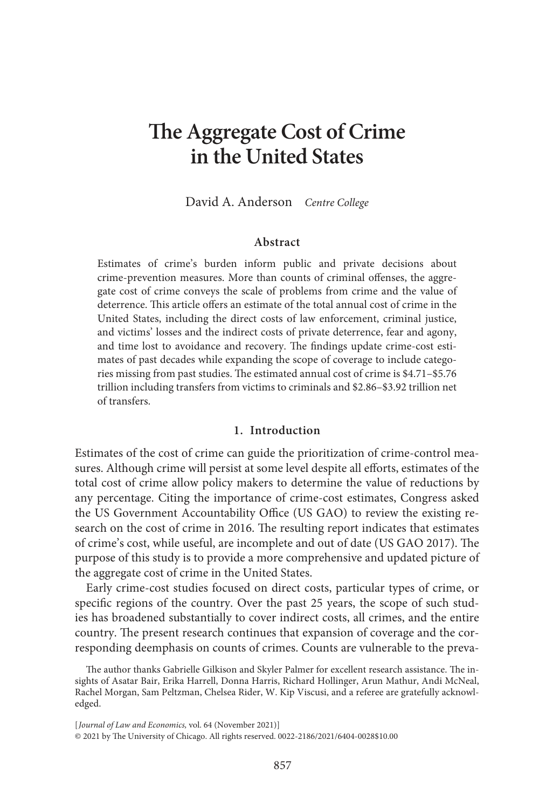# **The Aggregate Cost of Crime in the United States**

David A. Anderson Centre College

#### **Abstract**

Estimates of crime's burden inform public and private decisions about crime-prevention measures. More than counts of criminal offenses, the aggregate cost of crime conveys the scale of problems from crime and the value of deterrence. This article offers an estimate of the total annual cost of crime in the United States, including the direct costs of law enforcement, criminal justice, and victims' losses and the indirect costs of private deterrence, fear and agony, and time lost to avoidance and recovery. The findings update crime-cost estimates of past decades while expanding the scope of coverage to include categories missing from past studies. The estimated annual cost of crime is \$4.71–\$5.76 trillion including transfers from victims to criminals and \$2.86–\$3.92 trillion net of transfers.

# **1. Introduction**

Estimates of the cost of crime can guide the prioritization of crime-control measures. Although crime will persist at some level despite all efforts, estimates of the total cost of crime allow policy makers to determine the value of reductions by any percentage. Citing the importance of crime-cost estimates, Congress asked the US Government Accountability Office (US GAO) to review the existing research on the cost of crime in 2016. The resulting report indicates that estimates of crime's cost, while useful, are incomplete and out of date (US GAO 2017). The purpose of this study is to provide a more comprehensive and updated picture of the aggregate cost of crime in the United States.

Early crime-cost studies focused on direct costs, particular types of crime, or specific regions of the country. Over the past 25 years, the scope of such studies has broadened substantially to cover indirect costs, all crimes, and the entire country. The present research continues that expansion of coverage and the corresponding deemphasis on counts of crimes. Counts are vulnerable to the preva-

[Journal of Law and Economics, vol. 64 (November 2021)] © 2021 by The University of Chicago. All rights reserved. 0022-2186/2021/6404-0028\$10.00

The author thanks Gabrielle Gilkison and Skyler Palmer for excellent research assistance. The insights of Asatar Bair, Erika Harrell, Donna Harris, Richard Hollinger, Arun Mathur, Andi McNeal, Rachel Morgan, Sam Peltzman, Chelsea Rider, W. Kip Viscusi, and a referee are gratefully acknowledged.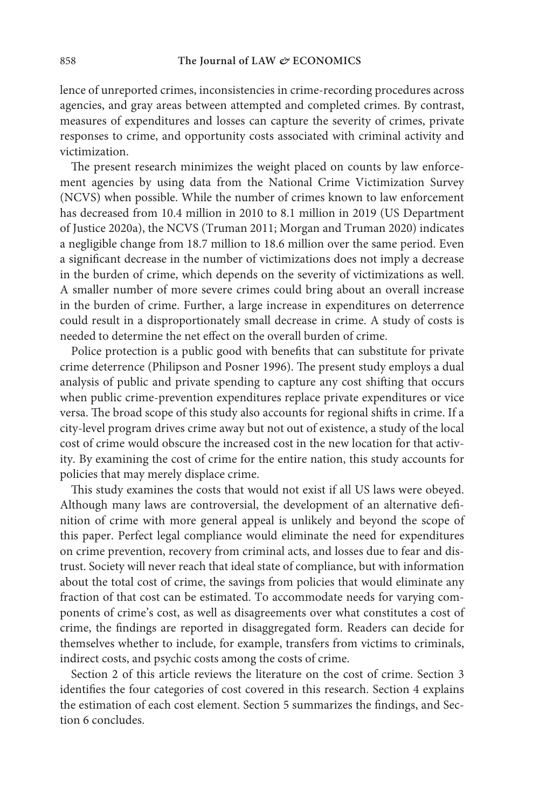lence of unreported crimes, inconsistencies in crime-recording procedures across agencies, and gray areas between attempted and completed crimes. By contrast, measures of expenditures and losses can capture the severity of crimes, private responses to crime, and opportunity costs associated with criminal activity and victimization.

The present research minimizes the weight placed on counts by law enforcement agencies by using data from the National Crime Victimization Survey (NCVS) when possible. While the number of crimes known to law enforcement has decreased from 10.4 million in 2010 to 8.1 million in 2019 (US Department of Justice 2020a), the NCVS (Truman 2011; Morgan and Truman 2020) indicates a negligible change from 18.7 million to 18.6 million over the same period. Even a significant decrease in the number of victimizations does not imply a decrease in the burden of crime, which depends on the severity of victimizations as well. A smaller number of more severe crimes could bring about an overall increase in the burden of crime. Further, a large increase in expenditures on deterrence could result in a disproportionately small decrease in crime. A study of costs is needed to determine the net effect on the overall burden of crime.

Police protection is a public good with benefits that can substitute for private crime deterrence (Philipson and Posner 1996). The present study employs a dual analysis of public and private spending to capture any cost shifting that occurs when public crime-prevention expenditures replace private expenditures or vice versa. The broad scope of this study also accounts for regional shifts in crime. If a city-level program drives crime away but not out of existence, a study of the local cost of crime would obscure the increased cost in the new location for that activity. By examining the cost of crime for the entire nation, this study accounts for policies that may merely displace crime.

This study examines the costs that would not exist if all US laws were obeyed. Although many laws are controversial, the development of an alternative definition of crime with more general appeal is unlikely and beyond the scope of this paper. Perfect legal compliance would eliminate the need for expenditures on crime prevention, recovery from criminal acts, and losses due to fear and distrust. Society will never reach that ideal state of compliance, but with information about the total cost of crime, the savings from policies that would eliminate any fraction of that cost can be estimated. To accommodate needs for varying components of crime's cost, as well as disagreements over what constitutes a cost of crime, the findings are reported in disaggregated form. Readers can decide for themselves whether to include, for example, transfers from victims to criminals, indirect costs, and psychic costs among the costs of crime.

Section 2 of this article reviews the literature on the cost of crime. Section 3 identifies the four categories of cost covered in this research. Section 4 explains the estimation of each cost element. Section 5 summarizes the findings, and Section 6 concludes.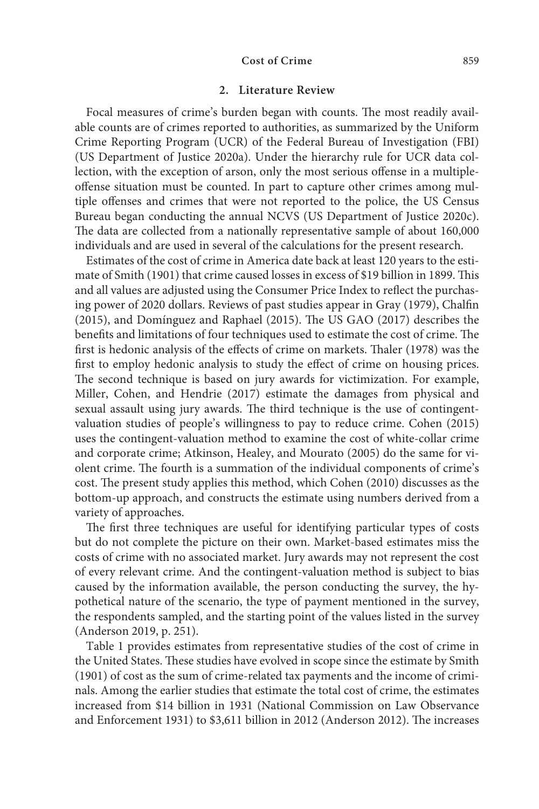#### **2. Literature Review**

Focal measures of crime's burden began with counts. The most readily available counts are of crimes reported to authorities, as summarized by the Uniform Crime Reporting Program (UCR) of the Federal Bureau of Investigation (FBI) (US Department of Justice 2020a). Under the hierarchy rule for UCR data collection, with the exception of arson, only the most serious offense in a multipleoffense situation must be counted. In part to capture other crimes among multiple offenses and crimes that were not reported to the police, the US Census Bureau began conducting the annual NCVS (US Department of Justice 2020c). The data are collected from a nationally representative sample of about 160,000 individuals and are used in several of the calculations for the present research.

Estimates of the cost of crime in America date back at least 120 years to the estimate of Smith (1901) that crime caused losses in excess of \$19 billion in 1899. This and all values are adjusted using the Consumer Price Index to reflect the purchasing power of 2020 dollars. Reviews of past studies appear in Gray (1979), Chalfin (2015), and Domínguez and Raphael (2015). The US GAO (2017) describes the benefits and limitations of four techniques used to estimate the cost of crime. The first is hedonic analysis of the effects of crime on markets. Thaler (1978) was the first to employ hedonic analysis to study the effect of crime on housing prices. The second technique is based on jury awards for victimization. For example, Miller, Cohen, and Hendrie (2017) estimate the damages from physical and sexual assault using jury awards. The third technique is the use of contingentvaluation studies of people's willingness to pay to reduce crime. Cohen (2015) uses the contingent-valuation method to examine the cost of white-collar crime and corporate crime; Atkinson, Healey, and Mourato (2005) do the same for violent crime. The fourth is a summation of the individual components of crime's cost. The present study applies this method, which Cohen (2010) discusses as the bottom-up approach, and constructs the estimate using numbers derived from a variety of approaches.

The first three techniques are useful for identifying particular types of costs but do not complete the picture on their own. Market-based estimates miss the costs of crime with no associated market. Jury awards may not represent the cost of every relevant crime. And the contingent-valuation method is subject to bias caused by the information available, the person conducting the survey, the hypothetical nature of the scenario, the type of payment mentioned in the survey, the respondents sampled, and the starting point of the values listed in the survey (Anderson 2019, p. 251).

 Table 1 provides estimates from representative studies of the cost of crime in the United States. These studies have evolved in scope since the estimate by Smith (1901) of cost as the sum of crime-related tax payments and the income of criminals. Among the earlier studies that estimate the total cost of crime, the estimates increased from \$14 billion in 1931 (National Commission on Law Observance and Enforcement 1931) to \$3,611 billion in 2012 (Anderson 2012). The increases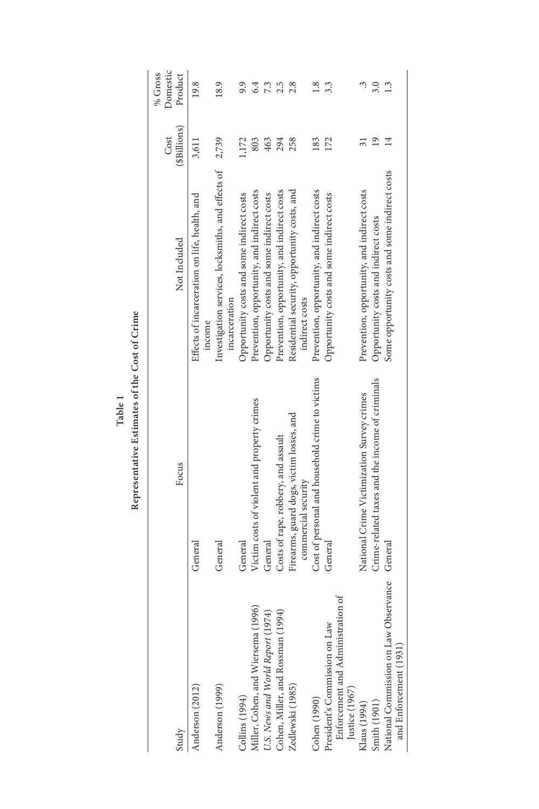**Table 1**

|                                                                                      |                                                                 |                                                                               | Cost           | Domestic<br>% Gross |
|--------------------------------------------------------------------------------------|-----------------------------------------------------------------|-------------------------------------------------------------------------------|----------------|---------------------|
| Study                                                                                | Focus                                                           | Not Included                                                                  | (\$Billions)   | Product             |
| Anderson (2012)                                                                      | General                                                         | Effects of incarceration on life, health, and                                 | 3,611          | 19.8                |
| Anderson (1999)                                                                      | General                                                         | Investigation services, locksmiths, and effects of<br>incarceration<br>income | 2,739          | 18.9                |
| Collins (1994)                                                                       | General                                                         | Opportunity costs and some indirect costs                                     | 1,172          | 9.9                 |
| (1996)<br>Miller, Cohen, and Wiersema                                                | Victim costs of violent and property crimes                     | Prevention, opportunity, and indirect costs                                   | 803            | 6.4                 |
| J.S. News and World Report (1974)                                                    | General                                                         | Opportunity costs and some indirect costs                                     | 463            | 7.3                 |
| Cohen, Miller, and Rossman (1994)                                                    | Costs of rape, robbery, and assault                             | Prevention, opportunity, and indirect costs                                   | 294            | 2.5                 |
| Zedlewski (1985)                                                                     | Firearms, guard dogs, victim losses, and<br>commercial security | Residential security, opportunity costs, and<br>indirect costs                | 258            | 2.8                 |
| Cohen (1990)                                                                         | Cost of personal and household crime to victims                 | Prevention, opportunity, and indirect costs                                   | 183            | 1.8                 |
| Enforcement and Administration of<br>President's Commission on Law<br>Justice (1967) | General                                                         | Opportunity costs and some indirect costs                                     | 172            | 3.3                 |
| Klaus (1994)                                                                         | National Crime Victimization Survey crimes                      | Prevention, opportunity, and indirect costs                                   |                |                     |
| Smith (1901)                                                                         | Crime-related taxes and the income of criminals                 | Opportunity costs and indirect costs                                          | $\overline{0}$ | 3.0                 |
| National Commission on Law Observance<br>and Enforcement (1931)                      | General                                                         | Some opportunity costs and some indirect costs                                | 14             | <u>C</u>            |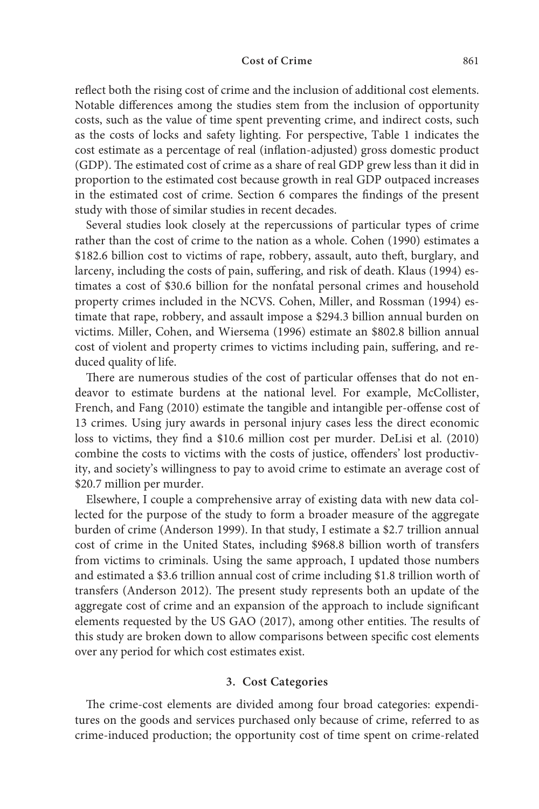reflect both the rising cost of crime and the inclusion of additional cost elements. Notable differences among the studies stem from the inclusion of opportunity costs, such as the value of time spent preventing crime, and indirect costs, such as the costs of locks and safety lighting. For perspective, Table 1 indicates the cost estimate as a percentage of real (inflation-adjusted) gross domestic product (GDP). The estimated cost of crime as a share of real GDP grew less than it did in proportion to the estimated cost because growth in real GDP outpaced increases in the estimated cost of crime. Section 6 compares the findings of the present study with those of similar studies in recent decades.

Several studies look closely at the repercussions of particular types of crime rather than the cost of crime to the nation as a whole. Cohen (1990) estimates a \$182.6 billion cost to victims of rape, robbery, assault, auto theft, burglary, and larceny, including the costs of pain, suffering, and risk of death. Klaus (1994) estimates a cost of \$30.6 billion for the nonfatal personal crimes and household property crimes included in the NCVS. Cohen, Miller, and Rossman (1994) estimate that rape, robbery, and assault impose a \$294.3 billion annual burden on victims. Miller, Cohen, and Wiersema (1996) estimate an \$802.8 billion annual cost of violent and property crimes to victims including pain, suffering, and reduced quality of life.

There are numerous studies of the cost of particular offenses that do not endeavor to estimate burdens at the national level. For example, McCollister, French, and Fang (2010) estimate the tangible and intangible per-offense cost of 13 crimes. Using jury awards in personal injury cases less the direct economic loss to victims, they find a \$10.6 million cost per murder. DeLisi et al. (2010) combine the costs to victims with the costs of justice, offenders' lost productivity, and society's willingness to pay to avoid crime to estimate an average cost of \$20.7 million per murder.

Elsewhere, I couple a comprehensive array of existing data with new data collected for the purpose of the study to form a broader measure of the aggregate burden of crime (Anderson 1999). In that study, I estimate a \$2.7 trillion annual cost of crime in the United States, including \$968.8 billion worth of transfers from victims to criminals. Using the same approach, I updated those numbers and estimated a \$3.6 trillion annual cost of crime including \$1.8 trillion worth of transfers (Anderson 2012). The present study represents both an update of the aggregate cost of crime and an expansion of the approach to include significant elements requested by the US GAO (2017), among other entities. The results of this study are broken down to allow comparisons between specific cost elements over any period for which cost estimates exist.

#### **3. Cost Categories**

The crime-cost elements are divided among four broad categories: expenditures on the goods and services purchased only because of crime, referred to as crime-induced production; the opportunity cost of time spent on crime-related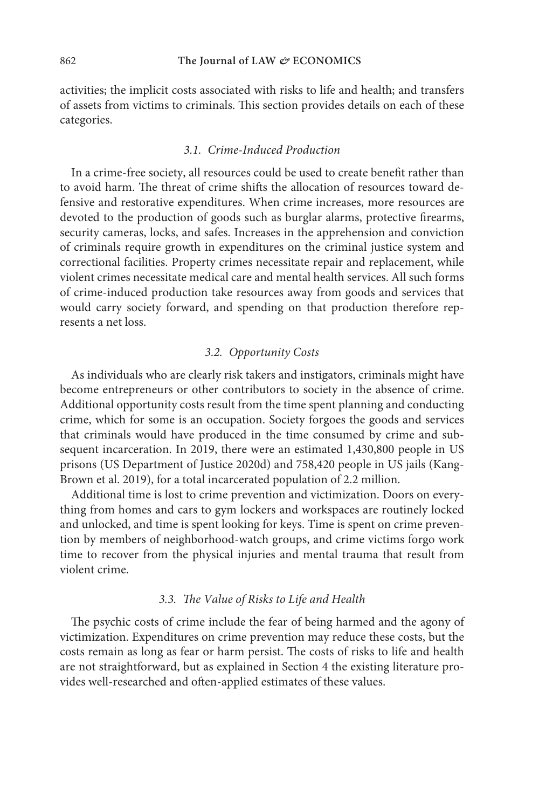activities; the implicit costs associated with risks to life and health; and transfers of assets from victims to criminals. This section provides details on each of these categories.

# 3.1. Crime-Induced Production

In a crime-free society, all resources could be used to create benefit rather than to avoid harm. The threat of crime shifts the allocation of resources toward defensive and restorative expenditures. When crime increases, more resources are devoted to the production of goods such as burglar alarms, protective firearms, security cameras, locks, and safes. Increases in the apprehension and conviction of criminals require growth in expenditures on the criminal justice system and correctional facilities. Property crimes necessitate repair and replacement, while violent crimes necessitate medical care and mental health services. All such forms of crime-induced production take resources away from goods and services that would carry society forward, and spending on that production therefore represents a net loss.

# 3.2. Opportunity Costs

As individuals who are clearly risk takers and instigators, criminals might have become entrepreneurs or other contributors to society in the absence of crime. Additional opportunity costs result from the time spent planning and conducting crime, which for some is an occupation. Society forgoes the goods and services that criminals would have produced in the time consumed by crime and subsequent incarceration. In 2019, there were an estimated 1,430,800 people in US prisons (US Department of Justice 2020d) and 758,420 people in US jails (Kang-Brown et al. 2019), for a total incarcerated population of 2.2 million.

Additional time is lost to crime prevention and victimization. Doors on everything from homes and cars to gym lockers and workspaces are routinely locked and unlocked, and time is spent looking for keys. Time is spent on crime prevention by members of neighborhood-watch groups, and crime victims forgo work time to recover from the physical injuries and mental trauma that result from violent crime.

#### 3.3. The Value of Risks to Life and Health

The psychic costs of crime include the fear of being harmed and the agony of victimization. Expenditures on crime prevention may reduce these costs, but the costs remain as long as fear or harm persist. The costs of risks to life and health are not straightforward, but as explained in Section 4 the existing literature provides well-researched and often-applied estimates of these values.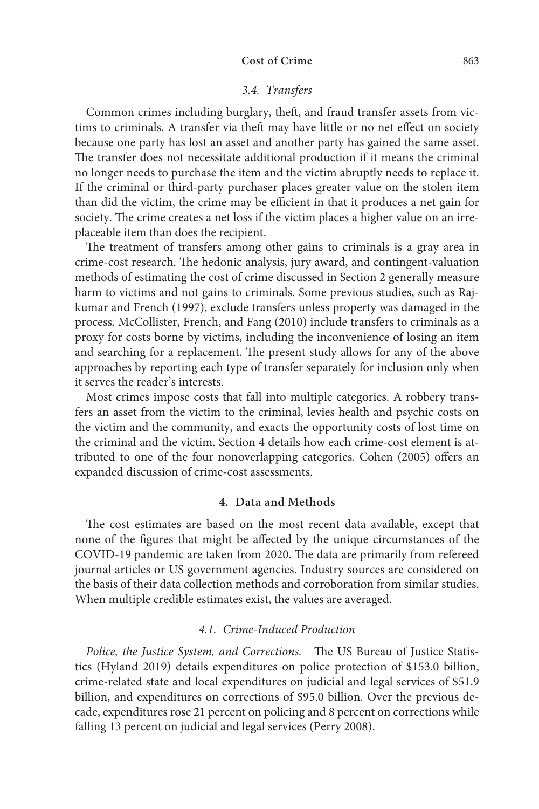#### 3.4. Transfers

Common crimes including burglary, theft, and fraud transfer assets from victims to criminals. A transfer via theft may have little or no net effect on society because one party has lost an asset and another party has gained the same asset. The transfer does not necessitate additional production if it means the criminal no longer needs to purchase the item and the victim abruptly needs to replace it. If the criminal or third-party purchaser places greater value on the stolen item than did the victim, the crime may be efficient in that it produces a net gain for society. The crime creates a net loss if the victim places a higher value on an irreplaceable item than does the recipient.

The treatment of transfers among other gains to criminals is a gray area in crime-cost research. The hedonic analysis, jury award, and contingent-valuation methods of estimating the cost of crime discussed in Section 2 generally measure harm to victims and not gains to criminals. Some previous studies, such as Rajkumar and French (1997), exclude transfers unless property was damaged in the process. McCollister, French, and Fang (2010) include transfers to criminals as a proxy for costs borne by victims, including the inconvenience of losing an item and searching for a replacement. The present study allows for any of the above approaches by reporting each type of transfer separately for inclusion only when it serves the reader's interests.

Most crimes impose costs that fall into multiple categories. A robbery transfers an asset from the victim to the criminal, levies health and psychic costs on the victim and the community, and exacts the opportunity costs of lost time on the criminal and the victim. Section 4 details how each crime-cost element is attributed to one of the four nonoverlapping categories. Cohen (2005) offers an expanded discussion of crime-cost assessments.

#### **4. Data and Methods**

The cost estimates are based on the most recent data available, except that none of the figures that might be affected by the unique circumstances of the COVID-19 pandemic are taken from 2020. The data are primarily from refereed journal articles or US government agencies. Industry sources are considered on the basis of their data collection methods and corroboration from similar studies. When multiple credible estimates exist, the values are averaged.

# 4.1. Crime-Induced Production

Police, the Justice System, and Corrections. The US Bureau of Justice Statistics (Hyland 2019) details expenditures on police protection of \$153.0 billion, crime-related state and local expenditures on judicial and legal services of \$51.9 billion, and expenditures on corrections of \$95.0 billion. Over the previous decade, expenditures rose 21 percent on policing and 8 percent on corrections while falling 13 percent on judicial and legal services (Perry 2008).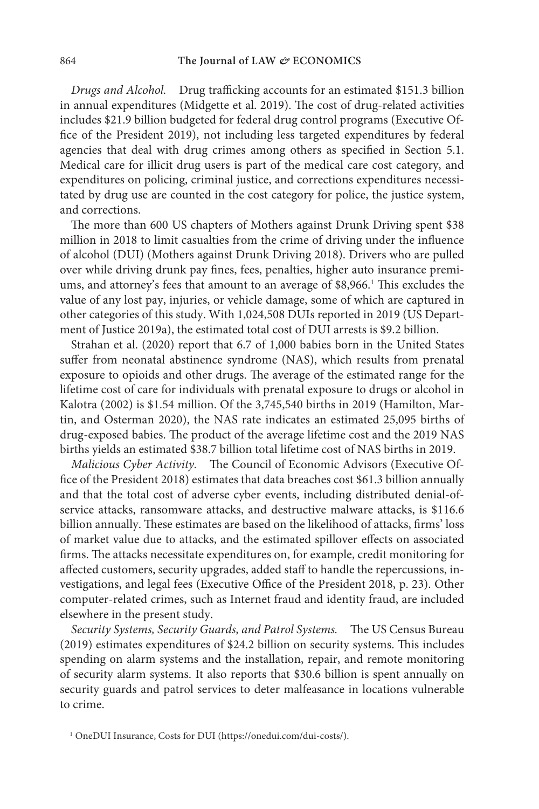Drugs and Alcohol. Drug trafficking accounts for an estimated \$151.3 billion in annual expenditures (Midgette et al. 2019). The cost of drug-related activities includes \$21.9 billion budgeted for federal drug control programs (Executive Office of the President 2019), not including less targeted expenditures by federal agencies that deal with drug crimes among others as specified in Section 5.1. Medical care for illicit drug users is part of the medical care cost category, and expenditures on policing, criminal justice, and corrections expenditures necessitated by drug use are counted in the cost category for police, the justice system, and corrections.

The more than 600 US chapters of Mothers against Drunk Driving spent \$38 million in 2018 to limit casualties from the crime of driving under the influence of alcohol (DUI) (Mothers against Drunk Driving 2018). Drivers who are pulled over while driving drunk pay fines, fees, penalties, higher auto insurance premiums, and attorney's fees that amount to an average of \$8,966.<sup>1</sup> This excludes the value of any lost pay, injuries, or vehicle damage, some of which are captured in other categories of this study. With 1,024,508 DUIs reported in 2019 (US Department of Justice 2019a), the estimated total cost of DUI arrests is \$9.2 billion.

Strahan et al. (2020) report that 6.7 of 1,000 babies born in the United States suffer from neonatal abstinence syndrome (NAS), which results from prenatal exposure to opioids and other drugs. The average of the estimated range for the lifetime cost of care for individuals with prenatal exposure to drugs or alcohol in Kalotra (2002) is \$1.54 million. Of the 3,745,540 births in 2019 (Hamilton, Martin, and Osterman 2020), the NAS rate indicates an estimated 25,095 births of drug-exposed babies. The product of the average lifetime cost and the 2019 NAS births yields an estimated \$38.7 billion total lifetime cost of NAS births in 2019.

Malicious Cyber Activity. The Council of Economic Advisors (Executive Office of the President 2018) estimates that data breaches cost \$61.3 billion annually and that the total cost of adverse cyber events, including distributed denial-ofservice attacks, ransomware attacks, and destructive malware attacks, is \$116.6 billion annually. These estimates are based on the likelihood of attacks, firms' loss of market value due to attacks, and the estimated spillover effects on associated firms. The attacks necessitate expenditures on, for example, credit monitoring for affected customers, security upgrades, added staff to handle the repercussions, investigations, and legal fees (Executive Office of the President 2018, p. 23). Other computer-related crimes, such as Internet fraud and identity fraud, are included elsewhere in the present study.

Security Systems, Security Guards, and Patrol Systems. The US Census Bureau (2019) estimates expenditures of \$24.2 billion on security systems. This includes spending on alarm systems and the installation, repair, and remote monitoring of security alarm systems. It also reports that \$30.6 billion is spent annually on security guards and patrol services to deter malfeasance in locations vulnerable to crime.

<sup>1</sup> OneDUI Insurance, Costs for DUI (https://onedui.com/dui-costs/).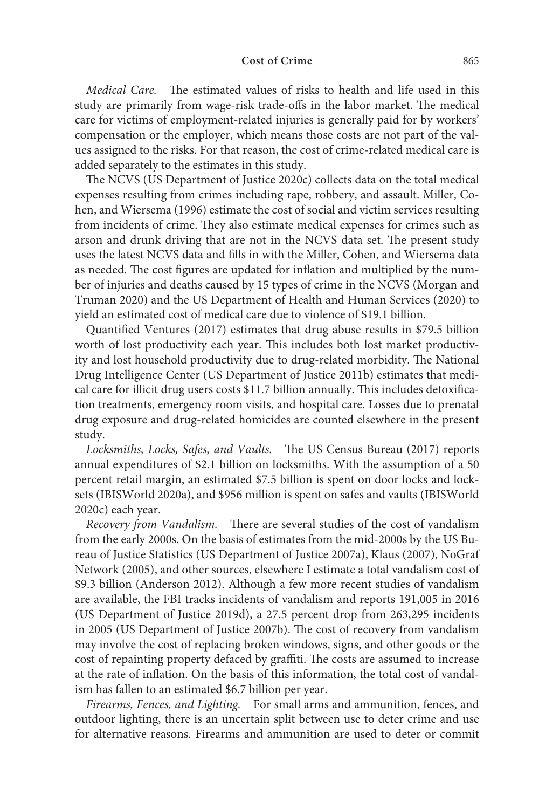Medical Care. The estimated values of risks to health and life used in this study are primarily from wage-risk trade-offs in the labor market. The medical care for victims of employment-related injuries is generally paid for by workers' compensation or the employer, which means those costs are not part of the values assigned to the risks. For that reason, the cost of crime-related medical care is added separately to the estimates in this study.

The NCVS (US Department of Justice 2020c) collects data on the total medical expenses resulting from crimes including rape, robbery, and assault. Miller, Cohen, and Wiersema (1996) estimate the cost of social and victim services resulting from incidents of crime. They also estimate medical expenses for crimes such as arson and drunk driving that are not in the NCVS data set. The present study uses the latest NCVS data and fills in with the Miller, Cohen, and Wiersema data as needed. The cost figures are updated for inflation and multiplied by the number of injuries and deaths caused by 15 types of crime in the NCVS (Morgan and Truman 2020) and the US Department of Health and Human Services (2020) to yield an estimated cost of medical care due to violence of \$19.1 billion.

Quantified Ventures (2017) estimates that drug abuse results in \$79.5 billion worth of lost productivity each year. This includes both lost market productivity and lost household productivity due to drug-related morbidity. The National Drug Intelligence Center (US Department of Justice 2011b) estimates that medical care for illicit drug users costs \$11.7 billion annually. This includes detoxification treatments, emergency room visits, and hospital care. Losses due to prenatal drug exposure and drug-related homicides are counted elsewhere in the present study.

Locksmiths, Locks, Safes, and Vaults. The US Census Bureau (2017) reports annual expenditures of \$2.1 billion on locksmiths. With the assumption of a 50 percent retail margin, an estimated \$7.5 billion is spent on door locks and locksets (IBISWorld 2020a), and \$956 million is spent on safes and vaults (IBISWorld 2020c) each year.

Recovery from Vandalism. There are several studies of the cost of vandalism from the early 2000s. On the basis of estimates from the mid-2000s by the US Bureau of Justice Statistics (US Department of Justice 2007a), Klaus (2007), NoGraf Network (2005), and other sources, elsewhere I estimate a total vandalism cost of \$9.3 billion (Anderson 2012). Although a few more recent studies of vandalism are available, the FBI tracks incidents of vandalism and reports 191,005 in 2016 (US Department of Justice 2019d), a 27.5 percent drop from 263,295 incidents in 2005 (US Department of Justice 2007b). The cost of recovery from vandalism may involve the cost of replacing broken windows, signs, and other goods or the cost of repainting property defaced by graffiti. The costs are assumed to increase at the rate of inflation. On the basis of this information, the total cost of vandalism has fallen to an estimated \$6.7 billion per year.

Firearms, Fences, and Lighting. For small arms and ammunition, fences, and outdoor lighting, there is an uncertain split between use to deter crime and use for alternative reasons. Firearms and ammunition are used to deter or commit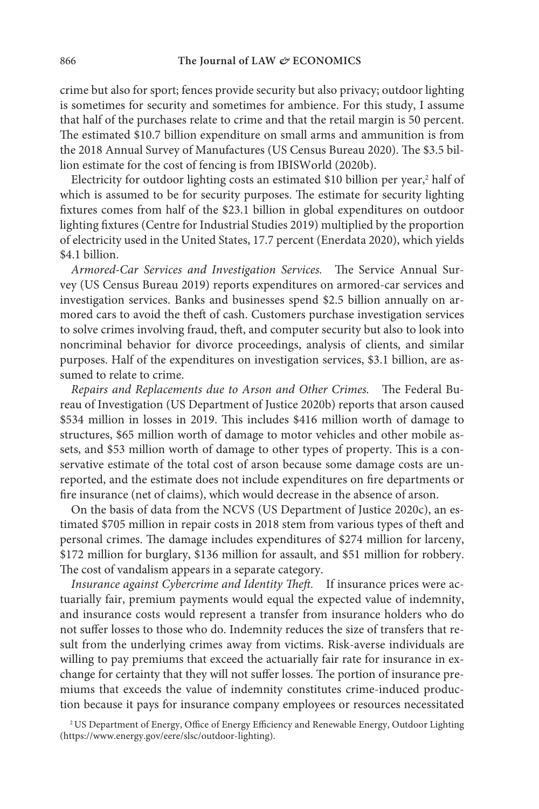crime but also for sport; fences provide security but also privacy; outdoor lighting is sometimes for security and sometimes for ambience. For this study, I assume that half of the purchases relate to crime and that the retail margin is 50 percent. The estimated \$10.7 billion expenditure on small arms and ammunition is from the 2018 Annual Survey of Manufactures (US Census Bureau 2020). The \$3.5 billion estimate for the cost of fencing is from IBISWorld (2020b).

Electricity for outdoor lighting costs an estimated \$10 billion per year,<sup>2</sup> half of which is assumed to be for security purposes. The estimate for security lighting fixtures comes from half of the \$23.1 billion in global expenditures on outdoor lighting fixtures (Centre for Industrial Studies 2019) multiplied by the proportion of electricity used in the United States, 17.7 percent (Enerdata 2020), which yields \$4.1 billion.

Armored-Car Services and Investigation Services. The Service Annual Survey (US Census Bureau 2019) reports expenditures on armored-car services and investigation services. Banks and businesses spend \$2.5 billion annually on armored cars to avoid the theft of cash. Customers purchase investigation services to solve crimes involving fraud, theft, and computer security but also to look into noncriminal behavior for divorce proceedings, analysis of clients, and similar purposes. Half of the expenditures on investigation services, \$3.1 billion, are assumed to relate to crime.

Repairs and Replacements due to Arson and Other Crimes. The Federal Bureau of Investigation (US Department of Justice 2020b) reports that arson caused \$534 million in losses in 2019. This includes \$416 million worth of damage to structures, \$65 million worth of damage to motor vehicles and other mobile assets, and \$53 million worth of damage to other types of property. This is a conservative estimate of the total cost of arson because some damage costs are unreported, and the estimate does not include expenditures on fire departments or fire insurance (net of claims), which would decrease in the absence of arson.

On the basis of data from the NCVS (US Department of Justice 2020c), an estimated \$705 million in repair costs in 2018 stem from various types of theft and personal crimes. The damage includes expenditures of \$274 million for larceny, \$172 million for burglary, \$136 million for assault, and \$51 million for robbery. The cost of vandalism appears in a separate category.

Insurance against Cybercrime and Identity Theft. If insurance prices were actuarially fair, premium payments would equal the expected value of indemnity, and insurance costs would represent a transfer from insurance holders who do not suffer losses to those who do. Indemnity reduces the size of transfers that result from the underlying crimes away from victims. Risk-averse individuals are willing to pay premiums that exceed the actuarially fair rate for insurance in exchange for certainty that they will not suffer losses. The portion of insurance premiums that exceeds the value of indemnity constitutes crime-induced production because it pays for insurance company employees or resources necessitated

<sup>2</sup>US Department of Energy, Office of Energy Efficiency and Renewable Energy, Outdoor Lighting (https://www.energy.gov/eere/slsc/outdoor-lighting).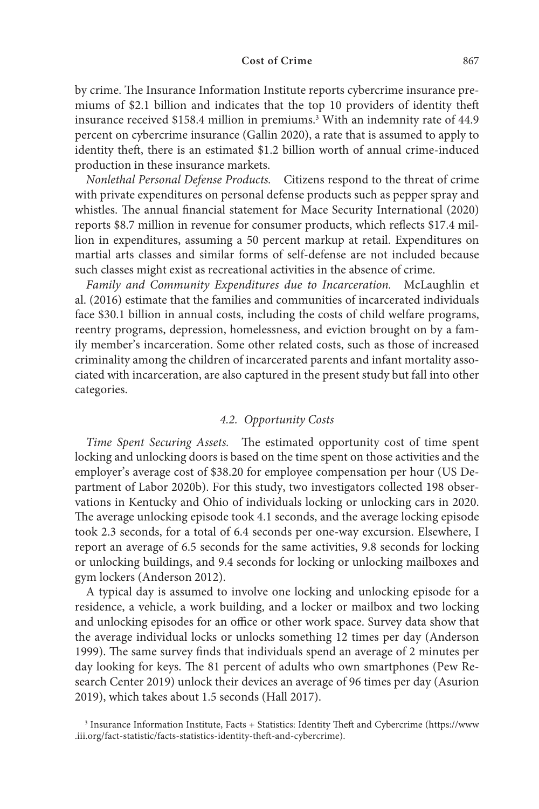by crime. The Insurance Information Institute reports cybercrime insurance premiums of \$2.1 billion and indicates that the top 10 providers of identity theft insurance received \$158.4 million in premiums.<sup>3</sup> With an indemnity rate of 44.9 percent on cybercrime insurance (Gallin 2020), a rate that is assumed to apply to identity theft, there is an estimated \$1.2 billion worth of annual crime-induced production in these insurance markets.

Nonlethal Personal Defense Products. Citizens respond to the threat of crime with private expenditures on personal defense products such as pepper spray and whistles. The annual financial statement for Mace Security International (2020) reports \$8.7 million in revenue for consumer products, which reflects \$17.4 million in expenditures, assuming a 50 percent markup at retail. Expenditures on martial arts classes and similar forms of self-defense are not included because such classes might exist as recreational activities in the absence of crime.

Family and Community Expenditures due to Incarceration. McLaughlin et al. (2016) estimate that the families and communities of incarcerated individuals face \$30.1 billion in annual costs, including the costs of child welfare programs, reentry programs, depression, homelessness, and eviction brought on by a family member's incarceration. Some other related costs, such as those of increased criminality among the children of incarcerated parents and infant mortality associated with incarceration, are also captured in the present study but fall into other categories.

# 4.2. Opportunity Costs

Time Spent Securing Assets. The estimated opportunity cost of time spent locking and unlocking doors is based on the time spent on those activities and the employer's average cost of \$38.20 for employee compensation per hour (US Department of Labor 2020b). For this study, two investigators collected 198 observations in Kentucky and Ohio of individuals locking or unlocking cars in 2020. The average unlocking episode took 4.1 seconds, and the average locking episode took 2.3 seconds, for a total of 6.4 seconds per one-way excursion. Elsewhere, I report an average of 6.5 seconds for the same activities, 9.8 seconds for locking or unlocking buildings, and 9.4 seconds for locking or unlocking mailboxes and gym lockers (Anderson 2012).

A typical day is assumed to involve one locking and unlocking episode for a residence, a vehicle, a work building, and a locker or mailbox and two locking and unlocking episodes for an office or other work space. Survey data show that the average individual locks or unlocks something 12 times per day (Anderson 1999). The same survey finds that individuals spend an average of 2 minutes per day looking for keys. The 81 percent of adults who own smartphones (Pew Research Center 2019) unlock their devices an average of 96 times per day (Asurion 2019), which takes about 1.5 seconds (Hall 2017).

<sup>3</sup> Insurance Information Institute, Facts + Statistics: Identity Theft and Cybercrime (https://www .iii.org/fact-statistic/facts-statistics-identity-theft-and-cybercrime).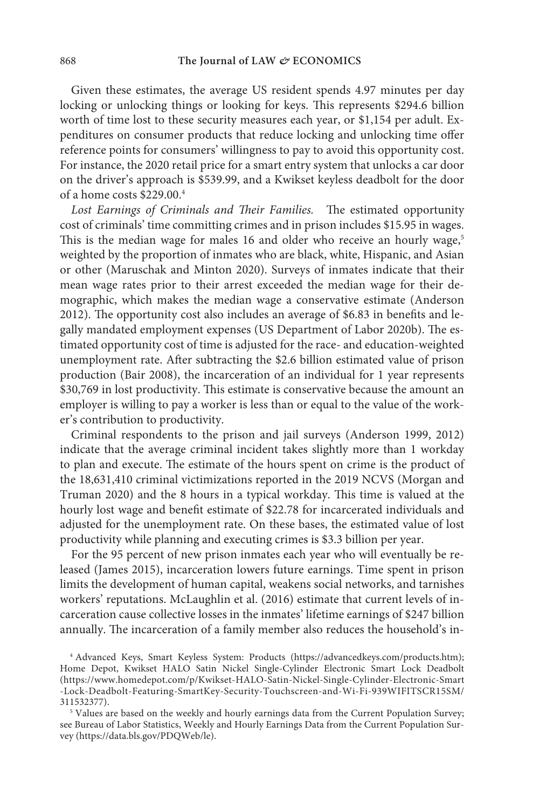Given these estimates, the average US resident spends 4.97 minutes per day locking or unlocking things or looking for keys. This represents \$294.6 billion worth of time lost to these security measures each year, or \$1,154 per adult. Expenditures on consumer products that reduce locking and unlocking time offer reference points for consumers' willingness to pay to avoid this opportunity cost. For instance, the 2020 retail price for a smart entry system that unlocks a car door on the driver's approach is \$539.99, and a Kwikset keyless deadbolt for the door of a home costs \$229.00.<sup>4</sup>

Lost Earnings of Criminals and Their Families. The estimated opportunity cost of criminals' time committing crimes and in prison includes \$15.95 in wages. This is the median wage for males 16 and older who receive an hourly wage,<sup>5</sup> weighted by the proportion of inmates who are black, white, Hispanic, and Asian or other (Maruschak and Minton 2020). Surveys of inmates indicate that their mean wage rates prior to their arrest exceeded the median wage for their demographic, which makes the median wage a conservative estimate (Anderson 2012). The opportunity cost also includes an average of \$6.83 in benefits and legally mandated employment expenses (US Department of Labor 2020b). The estimated opportunity cost of time is adjusted for the race- and education-weighted unemployment rate. After subtracting the \$2.6 billion estimated value of prison production (Bair 2008), the incarceration of an individual for 1 year represents \$30,769 in lost productivity. This estimate is conservative because the amount an employer is willing to pay a worker is less than or equal to the value of the worker's contribution to productivity.

Criminal respondents to the prison and jail surveys (Anderson 1999, 2012) indicate that the average criminal incident takes slightly more than 1 workday to plan and execute. The estimate of the hours spent on crime is the product of the 18,631,410 criminal victimizations reported in the 2019 NCVS (Morgan and Truman 2020) and the 8 hours in a typical workday. This time is valued at the hourly lost wage and benefit estimate of \$22.78 for incarcerated individuals and adjusted for the unemployment rate. On these bases, the estimated value of lost productivity while planning and executing crimes is \$3.3 billion per year.

For the 95 percent of new prison inmates each year who will eventually be released (James 2015), incarceration lowers future earnings. Time spent in prison limits the development of human capital, weakens social networks, and tarnishes workers' reputations. McLaughlin et al. (2016) estimate that current levels of incarceration cause collective losses in the inmates' lifetime earnings of \$247 billion annually. The incarceration of a family member also reduces the household's in-

4 Advanced Keys, Smart Keyless System: Products (https://advancedkeys.com/products.htm); Home Depot, Kwikset HALO Satin Nickel Single-Cylinder Electronic Smart Lock Deadbolt (https://www.homedepot.com/p/Kwikset-HALO-Satin-Nickel-Single-Cylinder-Electronic-Smart -Lock-Deadbolt-Featuring-SmartKey-Security-Touchscreen-and-Wi-Fi-939WIFITSCR15SM/ 311532377).

<sup>5</sup> Values are based on the weekly and hourly earnings data from the Current Population Survey; see Bureau of Labor Statistics, Weekly and Hourly Earnings Data from the Current Population Survey (https://data.bls.gov/PDQWeb/le).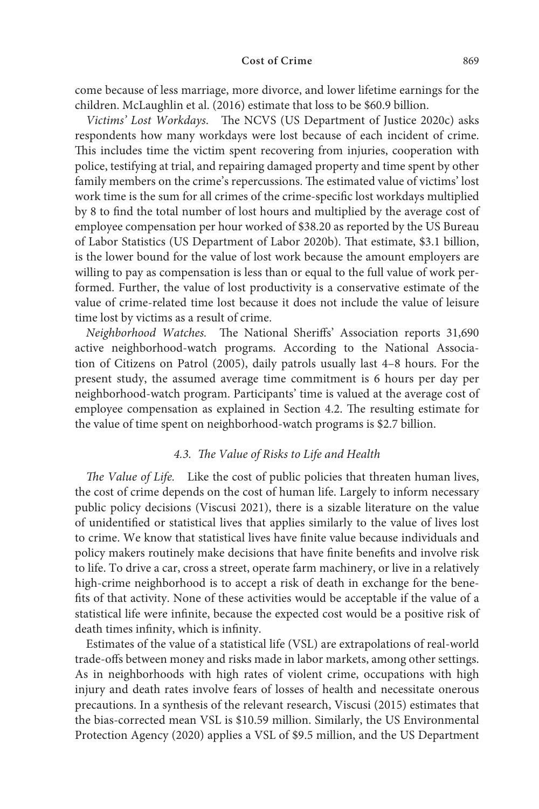come because of less marriage, more divorce, and lower lifetime earnings for the children. McLaughlin et al. (2016) estimate that loss to be \$60.9 billion.

Victims' Lost Workdays. The NCVS (US Department of Justice 2020c) asks respondents how many workdays were lost because of each incident of crime. This includes time the victim spent recovering from injuries, cooperation with police, testifying at trial, and repairing damaged property and time spent by other family members on the crime's repercussions. The estimated value of victims' lost work time is the sum for all crimes of the crime-specific lost workdays multiplied by 8 to find the total number of lost hours and multiplied by the average cost of employee compensation per hour worked of \$38.20 as reported by the US Bureau of Labor Statistics (US Department of Labor 2020b). That estimate, \$3.1 billion, is the lower bound for the value of lost work because the amount employers are willing to pay as compensation is less than or equal to the full value of work performed. Further, the value of lost productivity is a conservative estimate of the value of crime-related time lost because it does not include the value of leisure time lost by victims as a result of crime.

Neighborhood Watches. The National Sheriffs' Association reports 31,690 active neighborhood-watch programs. According to the National Association of Citizens on Patrol (2005), daily patrols usually last 4–8 hours. For the present study, the assumed average time commitment is 6 hours per day per neighborhood- watch program. Participants' time is valued at the average cost of employee compensation as explained in Section 4.2. The resulting estimate for the value of time spent on neighborhood-watch programs is \$2.7 billion.

#### 4.3. The Value of Risks to Life and Health

The Value of Life. Like the cost of public policies that threaten human lives, the cost of crime depends on the cost of human life. Largely to inform necessary public policy decisions (Viscusi 2021), there is a sizable literature on the value of unidentified or statistical lives that applies similarly to the value of lives lost to crime. We know that statistical lives have finite value because individuals and policy makers routinely make decisions that have finite benefits and involve risk to life. To drive a car, cross a street, operate farm machinery, or live in a relatively high-crime neighborhood is to accept a risk of death in exchange for the benefits of that activity. None of these activities would be acceptable if the value of a statistical life were infinite, because the expected cost would be a positive risk of death times infinity, which is infinity.

Estimates of the value of a statistical life (VSL) are extrapolations of real-world trade-offs between money and risks made in labor markets, among other settings. As in neighborhoods with high rates of violent crime, occupations with high injury and death rates involve fears of losses of health and necessitate onerous precautions. In a synthesis of the relevant research, Viscusi (2015) estimates that the bias-corrected mean VSL is \$10.59 million. Similarly, the US Environmental Protection Agency (2020) applies a VSL of \$9.5 million, and the US Department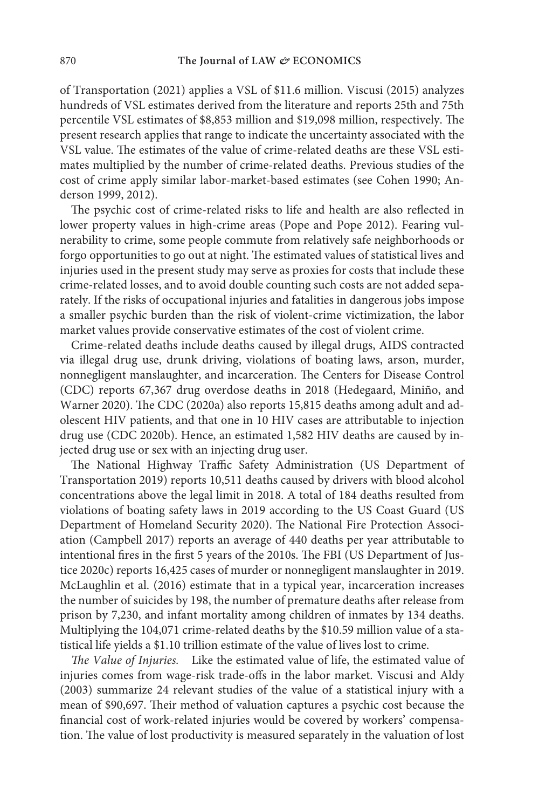of Transportation (2021) applies a VSL of \$11.6 million. Viscusi (2015) analyzes hundreds of VSL estimates derived from the literature and reports 25th and 75th percentile VSL estimates of \$8,853 million and \$19,098 million, respectively. The present research applies that range to indicate the uncertainty associated with the VSL value. The estimates of the value of crime-related deaths are these VSL estimates multiplied by the number of crime-related deaths. Previous studies of the cost of crime apply similar labor-market-based estimates (see Cohen 1990; Anderson 1999, 2012).

The psychic cost of crime-related risks to life and health are also reflected in lower property values in high-crime areas (Pope and Pope 2012). Fearing vulnerability to crime, some people commute from relatively safe neighborhoods or forgo opportunities to go out at night. The estimated values of statistical lives and injuries used in the present study may serve as proxies for costs that include these crime-related losses, and to avoid double counting such costs are not added separately. If the risks of occupational injuries and fatalities in dangerous jobs impose a smaller psychic burden than the risk of violent-crime victimization, the labor market values provide conservative estimates of the cost of violent crime.

Crime-related deaths include deaths caused by illegal drugs, AIDS contracted via illegal drug use, drunk driving, violations of boating laws, arson, murder, nonnegligent manslaughter, and incarceration. The Centers for Disease Control (CDC) reports 67,367 drug overdose deaths in 2018 (Hedegaard, Miniño, and Warner 2020). The CDC (2020a) also reports 15,815 deaths among adult and adolescent HIV patients, and that one in 10 HIV cases are attributable to injection drug use (CDC 2020b). Hence, an estimated 1,582 HIV deaths are caused by injected drug use or sex with an injecting drug user.

The National Highway Traffic Safety Administration (US Department of Transportation 2019) reports 10,511 deaths caused by drivers with blood alcohol concentrations above the legal limit in 2018. A total of 184 deaths resulted from violations of boating safety laws in 2019 according to the US Coast Guard (US Department of Homeland Security 2020). The National Fire Protection Association (Campbell 2017) reports an average of 440 deaths per year attributable to intentional fires in the first 5 years of the 2010s. The FBI (US Department of Justice 2020c) reports 16,425 cases of murder or nonnegligent manslaughter in 2019. McLaughlin et al. (2016) estimate that in a typical year, incarceration increases the number of suicides by 198, the number of premature deaths after release from prison by 7,230, and infant mortality among children of inmates by 134 deaths. Multiplying the 104,071 crime-related deaths by the \$10.59 million value of a statistical life yields a \$1.10 trillion estimate of the value of lives lost to crime.

The Value of Injuries. Like the estimated value of life, the estimated value of injuries comes from wage-risk trade-offs in the labor market. Viscusi and Aldy (2003) summarize 24 relevant studies of the value of a statistical injury with a mean of \$90,697. Their method of valuation captures a psychic cost because the financial cost of work-related injuries would be covered by workers' compensation. The value of lost productivity is measured separately in the valuation of lost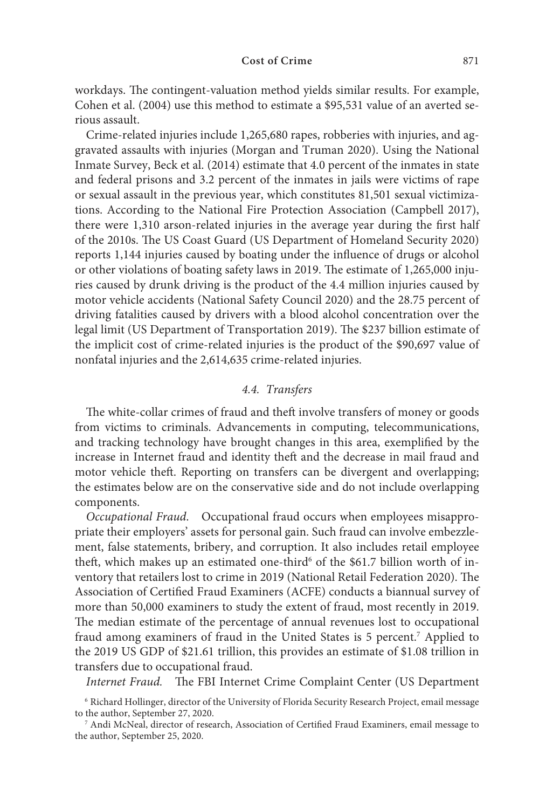workdays. The contingent-valuation method yields similar results. For example, Cohen et al. (2004) use this method to estimate a \$95,531 value of an averted serious assault.

Crime-related injuries include 1,265,680 rapes, robberies with injuries, and aggravated assaults with injuries (Morgan and Truman 2020). Using the National Inmate Survey, Beck et al. (2014) estimate that 4.0 percent of the inmates in state and federal prisons and 3.2 percent of the inmates in jails were victims of rape or sexual assault in the previous year, which constitutes 81,501 sexual victimizations. According to the National Fire Protection Association (Campbell 2017), there were 1,310 arson-related injuries in the average year during the first half of the 2010s. The US Coast Guard (US Department of Homeland Security 2020) reports 1,144 injuries caused by boating under the influence of drugs or alcohol or other violations of boating safety laws in 2019. The estimate of 1,265,000 injuries caused by drunk driving is the product of the 4.4 million injuries caused by motor vehicle accidents (National Safety Council 2020) and the 28.75 percent of driving fatalities caused by drivers with a blood alcohol concentration over the legal limit (US Department of Transportation 2019). The \$237 billion estimate of the implicit cost of crime-related injuries is the product of the \$90,697 value of nonfatal injuries and the 2,614,635 crime-related injuries.

# 4.4. Transfers

The white-collar crimes of fraud and theft involve transfers of money or goods from victims to criminals. Advancements in computing, telecommunications, and tracking technology have brought changes in this area, exemplified by the increase in Internet fraud and identity theft and the decrease in mail fraud and motor vehicle theft. Reporting on transfers can be divergent and overlapping; the estimates below are on the conservative side and do not include overlapping components.

Occupational Fraud. Occupational fraud occurs when employees misappropriate their employers' assets for personal gain. Such fraud can involve embezzlement, false statements, bribery, and corruption. It also includes retail employee theft, which makes up an estimated one-third<sup>6</sup> of the \$61.7 billion worth of inventory that retailers lost to crime in 2019 (National Retail Federation 2020). The Association of Certified Fraud Examiners (ACFE) conducts a biannual survey of more than 50,000 examiners to study the extent of fraud, most recently in 2019. The median estimate of the percentage of annual revenues lost to occupational fraud among examiners of fraud in the United States is 5 percent.<sup>7</sup> Applied to the 2019 US GDP of \$21.61 trillion, this provides an estimate of \$1.08 trillion in transfers due to occupational fraud.

Internet Fraud. The FBI Internet Crime Complaint Center (US Department

<sup>6</sup> Richard Hollinger, director of the University of Florida Security Research Project, email message to the author, September 27, 2020.

<sup>7</sup> Andi McNeal, director of research, Association of Certified Fraud Examiners, email message to the author, September 25, 2020.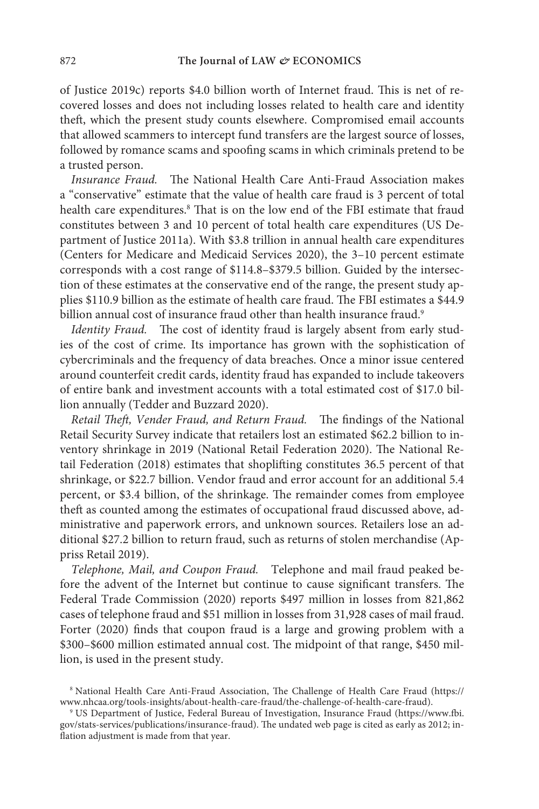of Justice 2019c) reports \$4.0 billion worth of Internet fraud. This is net of recovered losses and does not including losses related to health care and identity theft, which the present study counts elsewhere. Compromised email accounts that allowed scammers to intercept fund transfers are the largest source of losses, followed by romance scams and spoofing scams in which criminals pretend to be a trusted person.

Insurance Fraud. The National Health Care Anti-Fraud Association makes a "conservative" estimate that the value of health care fraud is 3 percent of total health care expenditures.<sup>8</sup> That is on the low end of the FBI estimate that fraud constitutes between 3 and 10 percent of total health care expenditures (US Department of Justice 2011a). With \$3.8 trillion in annual health care expenditures (Centers for Medicare and Medicaid Services 2020), the 3–10 percent estimate corresponds with a cost range of \$114.8–\$379.5 billion. Guided by the intersection of these estimates at the conservative end of the range, the present study applies \$110.9 billion as the estimate of health care fraud. The FBI estimates a \$44.9 billion annual cost of insurance fraud other than health insurance fraud.<sup>9</sup>

Identity Fraud. The cost of identity fraud is largely absent from early studies of the cost of crime. Its importance has grown with the sophistication of cybercriminals and the frequency of data breaches. Once a minor issue centered around counterfeit credit cards, identity fraud has expanded to include takeovers of entire bank and investment accounts with a total estimated cost of \$17.0 billion annually (Tedder and Buzzard 2020).

Retail Theft, Vender Fraud, and Return Fraud. The findings of the National Retail Security Survey indicate that retailers lost an estimated \$62.2 billion to inventory shrinkage in 2019 (National Retail Federation 2020). The National Retail Federation (2018) estimates that shoplifting constitutes 36.5 percent of that shrinkage, or \$22.7 billion. Vendor fraud and error account for an additional 5.4 percent, or \$3.4 billion, of the shrinkage. The remainder comes from employee theft as counted among the estimates of occupational fraud discussed above, administrative and paperwork errors, and unknown sources. Retailers lose an additional \$27.2 billion to return fraud, such as returns of stolen merchandise (Appriss Retail 2019).

Telephone, Mail, and Coupon Fraud. Telephone and mail fraud peaked before the advent of the Internet but continue to cause significant transfers. The Federal Trade Commission (2020) reports \$497 million in losses from 821,862 cases of telephone fraud and \$51 million in losses from 31,928 cases of mail fraud. Forter (2020) finds that coupon fraud is a large and growing problem with a \$300–\$600 million estimated annual cost. The midpoint of that range, \$450 million, is used in the present study.

<sup>8</sup> National Health Care Anti-Fraud Association, The Challenge of Health Care Fraud (https:// www.nhcaa.org/tools-insights/about-health-care-fraud/the-challenge-of-health-care-fraud).

<sup>9</sup> US Department of Justice, Federal Bureau of Investigation, Insurance Fraud (https://www.fbi. gov/stats-services/publications/insurance-fraud). The undated web page is cited as early as 2012; inflation adjustment is made from that year.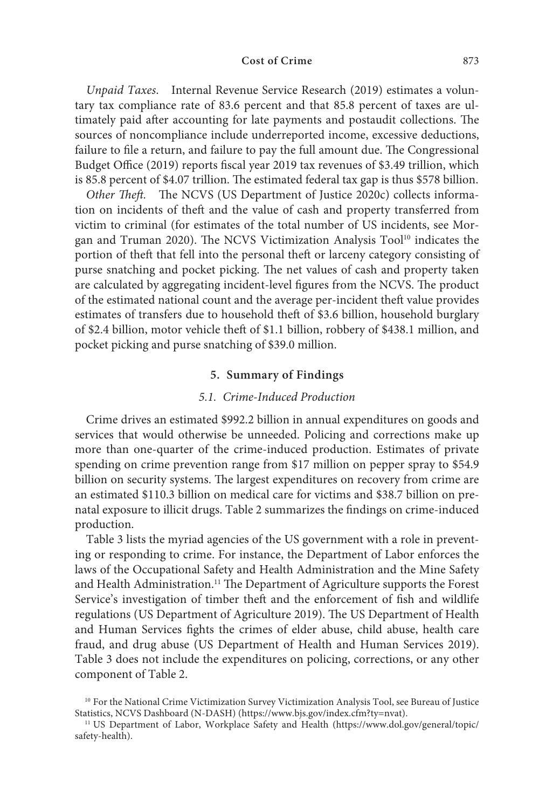Unpaid Taxes. Internal Revenue Service Research (2019) estimates a voluntary tax compliance rate of 83.6 percent and that 85.8 percent of taxes are ultimately paid after accounting for late payments and postaudit collections. The sources of noncompliance include underreported income, excessive deductions, failure to file a return, and failure to pay the full amount due. The Congressional Budget Office (2019) reports fiscal year 2019 tax revenues of \$3.49 trillion, which is 85.8 percent of \$4.07 trillion. The estimated federal tax gap is thus \$578 billion.

Other Theft. The NCVS (US Department of Justice 2020c) collects information on incidents of theft and the value of cash and property transferred from victim to criminal (for estimates of the total number of US incidents, see Morgan and Truman 2020). The NCVS Victimization Analysis Tool<sup>10</sup> indicates the portion of theft that fell into the personal theft or larceny category consisting of purse snatching and pocket picking. The net values of cash and property taken are calculated by aggregating incident-level figures from the NCVS. The product of the estimated national count and the average per-incident theft value provides estimates of transfers due to household theft of \$3.6 billion, household burglary of \$2.4 billion, motor vehicle theft of \$1.1 billion, robbery of \$438.1 million, and pocket picking and purse snatching of \$39.0 million.

#### **5. Summary of Findings**

#### 5.1. Crime-Induced Production

Crime drives an estimated \$992.2 billion in annual expenditures on goods and services that would otherwise be unneeded. Policing and corrections make up more than one-quarter of the crime-induced production. Estimates of private spending on crime prevention range from \$17 million on pepper spray to \$54.9 billion on security systems. The largest expenditures on recovery from crime are an estimated \$110.3 billion on medical care for victims and \$38.7 billion on prenatal exposure to illicit drugs. Table 2 summarizes the findings on crime-induced production.

 Table 3 lists the myriad agencies of the US government with a role in preventing or responding to crime. For instance, the Department of Labor enforces the laws of the Occupational Safety and Health Administration and the Mine Safety and Health Administration.<sup>11</sup> The Department of Agriculture supports the Forest Service's investigation of timber theft and the enforcement of fish and wildlife regulations (US Department of Agriculture 2019). The US Department of Health and Human Services fights the crimes of elder abuse, child abuse, health care fraud, and drug abuse (US Department of Health and Human Services 2019). Table 3 does not include the expenditures on policing, corrections, or any other component of Table 2.

<sup>&</sup>lt;sup>10</sup> For the National Crime Victimization Survey Victimization Analysis Tool, see Bureau of Justice Statistics, NCVS Dashboard (N-DASH) (https://www.bjs.gov/index.cfm?ty=nvat).

<sup>&</sup>lt;sup>11</sup> US Department of Labor, Workplace Safety and Health (https://www.dol.gov/general/topic/ safety-health).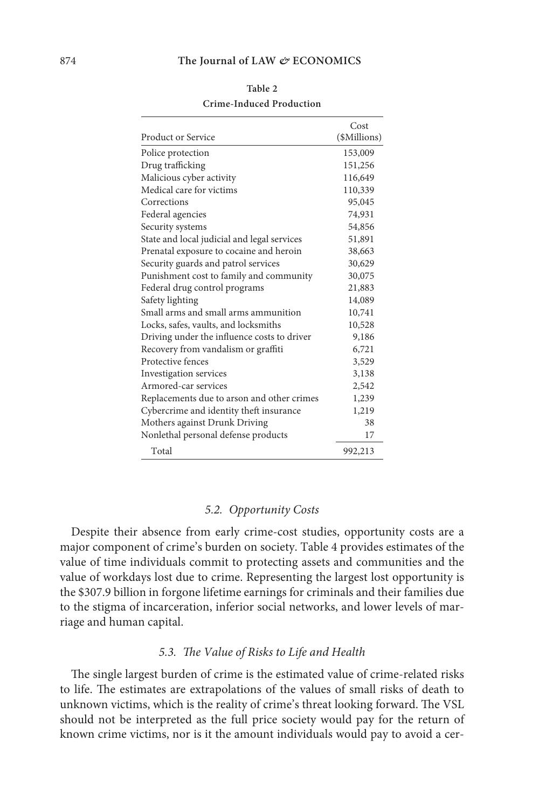|                                             | Cost         |
|---------------------------------------------|--------------|
| Product or Service                          | (\$Millions) |
| Police protection                           | 153,009      |
| Drug trafficking                            | 151,256      |
| Malicious cyber activity                    | 116,649      |
| Medical care for victims                    | 110,339      |
| Corrections                                 | 95,045       |
| Federal agencies                            | 74,931       |
| Security systems                            | 54,856       |
| State and local judicial and legal services | 51,891       |
| Prenatal exposure to cocaine and heroin     | 38,663       |
| Security guards and patrol services         | 30,629       |
| Punishment cost to family and community     | 30,075       |
| Federal drug control programs               | 21,883       |
| Safety lighting                             | 14,089       |
| Small arms and small arms ammunition        | 10,741       |
| Locks, safes, vaults, and locksmiths        | 10,528       |
| Driving under the influence costs to driver | 9,186        |
| Recovery from vandalism or graffiti         | 6,721        |
| Protective fences                           | 3,529        |
| Investigation services                      | 3,138        |
| Armored-car services                        | 2,542        |
| Replacements due to arson and other crimes  | 1,239        |
| Cybercrime and identity theft insurance     | 1,219        |
| Mothers against Drunk Driving               | 38           |
| Nonlethal personal defense products         | 17           |
| Total                                       | 992,213      |

**Table 2 Crime-Induced Production**

#### 5.2. Opportunity Costs

Despite their absence from early crime-cost studies, opportunity costs are a major component of crime's burden on society. Table 4 provides estimates of the value of time individuals commit to protecting assets and communities and the value of workdays lost due to crime. Representing the largest lost opportunity is the \$307.9 billion in forgone lifetime earnings for criminals and their families due to the stigma of incarceration, inferior social networks, and lower levels of marriage and human capital.

# 5.3. The Value of Risks to Life and Health

The single largest burden of crime is the estimated value of crime-related risks to life. The estimates are extrapolations of the values of small risks of death to unknown victims, which is the reality of crime's threat looking forward. The VSL should not be interpreted as the full price society would pay for the return of known crime victims, nor is it the amount individuals would pay to avoid a cer-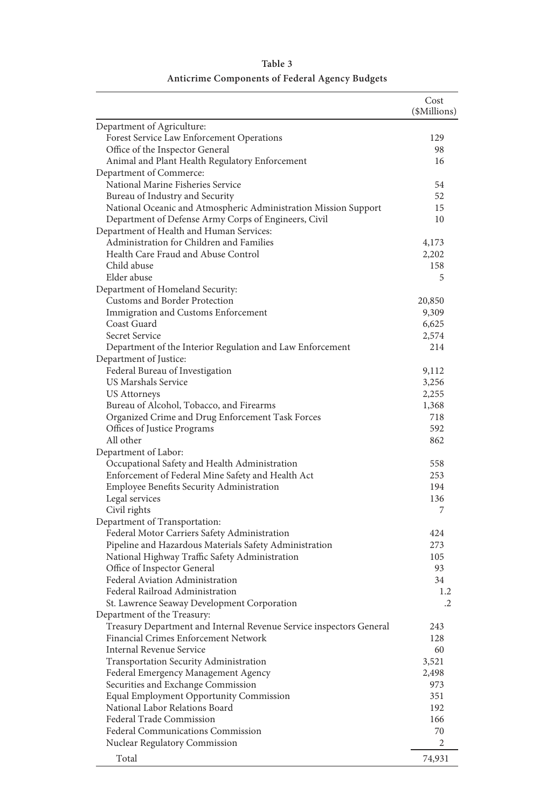|                                                                     | Cost<br>(\$Millions) |
|---------------------------------------------------------------------|----------------------|
| Department of Agriculture:                                          |                      |
| Forest Service Law Enforcement Operations                           | 129                  |
| Office of the Inspector General                                     | 98                   |
| Animal and Plant Health Regulatory Enforcement                      | 16                   |
| Department of Commerce:                                             |                      |
| National Marine Fisheries Service                                   | 54                   |
| Bureau of Industry and Security                                     | 52                   |
| National Oceanic and Atmospheric Administration Mission Support     | 15                   |
| Department of Defense Army Corps of Engineers, Civil                | 10                   |
| Department of Health and Human Services:                            |                      |
| Administration for Children and Families                            | 4,173                |
| Health Care Fraud and Abuse Control                                 | 2,202                |
| Child abuse                                                         | 158                  |
| Elder abuse                                                         | 5                    |
| Department of Homeland Security:                                    |                      |
| Customs and Border Protection                                       | 20,850               |
| Immigration and Customs Enforcement                                 | 9,309                |
| Coast Guard                                                         | 6,625                |
| Secret Service                                                      | 2,574                |
| Department of the Interior Regulation and Law Enforcement           | 214                  |
| Department of Justice:                                              |                      |
| Federal Bureau of Investigation                                     | 9,112                |
| US Marshals Service                                                 | 3,256                |
| <b>US Attorneys</b>                                                 | 2,255                |
| Bureau of Alcohol, Tobacco, and Firearms                            | 1,368                |
| Organized Crime and Drug Enforcement Task Forces                    | 718                  |
| Offices of Justice Programs                                         | 592                  |
| All other                                                           | 862                  |
| Department of Labor:                                                |                      |
| Occupational Safety and Health Administration                       | 558                  |
| Enforcement of Federal Mine Safety and Health Act                   | 253                  |
| Employee Benefits Security Administration                           | 194                  |
| Legal services                                                      | 136                  |
| Civil rights                                                        | 7                    |
| Department of Transportation:                                       |                      |
| Federal Motor Carriers Safety Administration                        | 424                  |
| Pipeline and Hazardous Materials Safety Administration              | 273                  |
| National Highway Traffic Safety Administration                      | 105                  |
| Office of Inspector General                                         | 93                   |
| Federal Aviation Administration                                     | 34                   |
| Federal Railroad Administration                                     | 1.2                  |
| St. Lawrence Seaway Development Corporation                         | $\cdot$              |
| Department of the Treasury:                                         |                      |
| Treasury Department and Internal Revenue Service inspectors General | 243                  |
| Financial Crimes Enforcement Network                                | 128                  |
| Internal Revenue Service                                            | 60                   |
| Transportation Security Administration                              | 3,521                |
| Federal Emergency Management Agency                                 | 2,498                |
| Securities and Exchange Commission                                  | 973                  |
| Equal Employment Opportunity Commission                             | 351                  |
| National Labor Relations Board                                      | 192                  |
| Federal Trade Commission                                            | 166                  |
|                                                                     | 70                   |
| Federal Communications Commission<br>Nuclear Regulatory Commission  | 2                    |
|                                                                     |                      |
| Total                                                               | 74,931               |

# **Table 3 Anticrime Components of Federal Agency Budgets**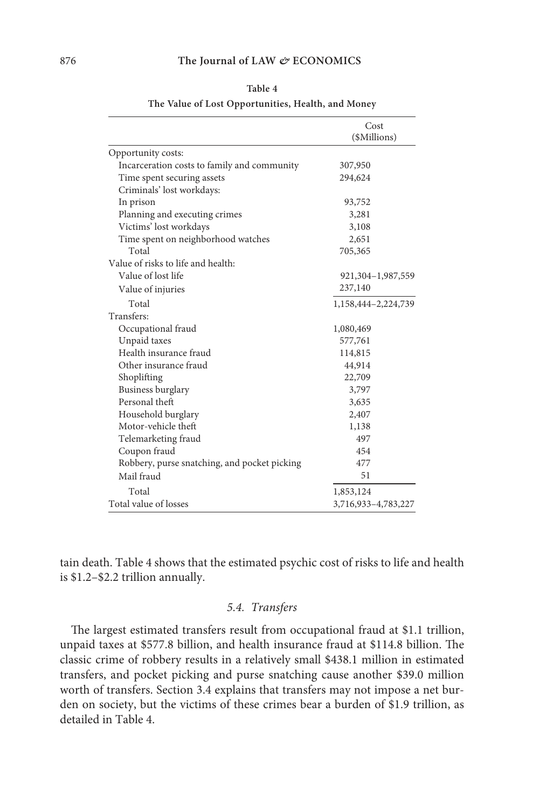|                                              | Cost<br>(\$Millions) |
|----------------------------------------------|----------------------|
| Opportunity costs:                           |                      |
| Incarceration costs to family and community  | 307,950              |
| Time spent securing assets                   | 294,624              |
| Criminals' lost workdays:                    |                      |
| In prison                                    | 93,752               |
| Planning and executing crimes                | 3,281                |
| Victims' lost workdays                       | 3,108                |
| Time spent on neighborhood watches           | 2,651                |
| Total                                        | 705,365              |
| Value of risks to life and health:           |                      |
| Value of lost life                           | 921,304-1,987,559    |
| Value of injuries                            | 237,140              |
| Total                                        | 1,158,444-2,224,739  |
| Transfers:                                   |                      |
| Occupational fraud                           | 1,080,469            |
| Unpaid taxes                                 | 577,761              |
| Health insurance fraud                       | 114,815              |
| Other insurance fraud                        | 44,914               |
| Shoplifting                                  | 22,709               |
| Business burglary                            | 3,797                |
| Personal theft                               | 3,635                |
| Household burglary                           | 2,407                |
| Motor-vehicle theft                          | 1,138                |
| Telemarketing fraud                          | 497                  |
| Coupon fraud                                 | 454                  |
| Robbery, purse snatching, and pocket picking | 477                  |
| Mail fraud                                   | 51                   |
| Total                                        | 1,853,124            |
| Total value of losses                        | 3,716,933-4,783,227  |

| ۰, |  |
|----|--|
|----|--|

**The Value of Lost Opportunities, Health, and Money**

tain death. Table 4 shows that the estimated psychic cost of risks to life and health is \$1.2–\$2.2 trillion annually.

# 5.4. Transfers

The largest estimated transfers result from occupational fraud at \$1.1 trillion, unpaid taxes at \$577.8 billion, and health insurance fraud at \$114.8 billion. The classic crime of robbery results in a relatively small \$438.1 million in estimated transfers, and pocket picking and purse snatching cause another \$39.0 million worth of transfers. Section 3.4 explains that transfers may not impose a net burden on society, but the victims of these crimes bear a burden of \$1.9 trillion, as detailed in Table 4.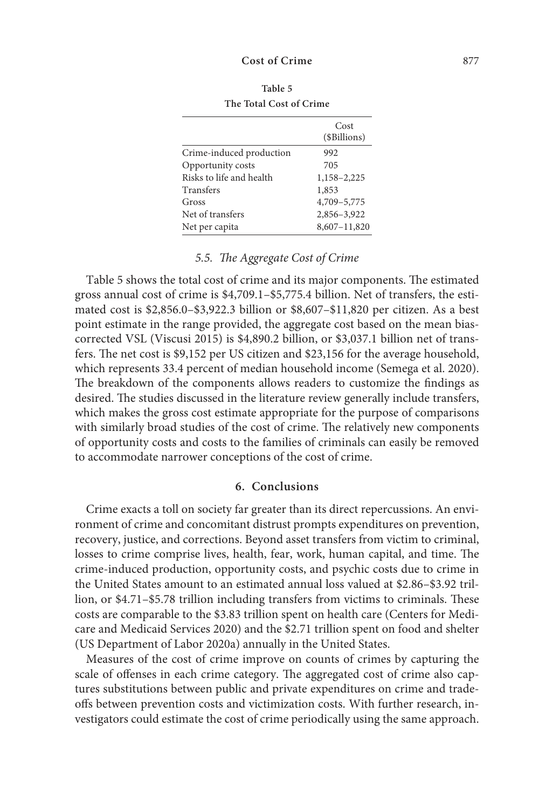|                          | Cost<br>(\$Billions) |
|--------------------------|----------------------|
| Crime-induced production | 992                  |
| Opportunity costs        | 705                  |
| Risks to life and health | 1,158-2,225          |
| Transfers                | 1,853                |
| Gross                    | 4,709-5,775          |
| Net of transfers         | 2,856-3,922          |
| Net per capita           | 8,607-11,820         |

**Table 5 The Total Cost of Crime**

# 5.5. The Aggregate Cost of Crime

 Table 5 shows the total cost of crime and its major components. The estimated gross annual cost of crime is \$4,709.1–\$5,775.4 billion. Net of transfers, the estimated cost is \$2,856.0–\$3,922.3 billion or \$8,607–\$11,820 per citizen. As a best point estimate in the range provided, the aggregate cost based on the mean biascorrected VSL (Viscusi 2015) is \$4,890.2 billion, or \$3,037.1 billion net of transfers. The net cost is \$9,152 per US citizen and \$23,156 for the average household, which represents 33.4 percent of median household income (Semega et al. 2020). The breakdown of the components allows readers to customize the findings as desired. The studies discussed in the literature review generally include transfers, which makes the gross cost estimate appropriate for the purpose of comparisons with similarly broad studies of the cost of crime. The relatively new components of opportunity costs and costs to the families of criminals can easily be removed to accommodate narrower conceptions of the cost of crime.

#### **6. Conclusions**

Crime exacts a toll on society far greater than its direct repercussions. An environment of crime and concomitant distrust prompts expenditures on prevention, recovery, justice, and corrections. Beyond asset transfers from victim to criminal, losses to crime comprise lives, health, fear, work, human capital, and time. The crime-induced production, opportunity costs, and psychic costs due to crime in the United States amount to an estimated annual loss valued at \$2.86–\$3.92 trillion, or \$4.71–\$5.78 trillion including transfers from victims to criminals. These costs are comparable to the \$3.83 trillion spent on health care (Centers for Medicare and Medicaid Services 2020) and the \$2.71 trillion spent on food and shelter (US Department of Labor 2020a) annually in the United States.

Measures of the cost of crime improve on counts of crimes by capturing the scale of offenses in each crime category. The aggregated cost of crime also captures substitutions between public and private expenditures on crime and tradeoffs between prevention costs and victimization costs. With further research, investigators could estimate the cost of crime periodically using the same approach.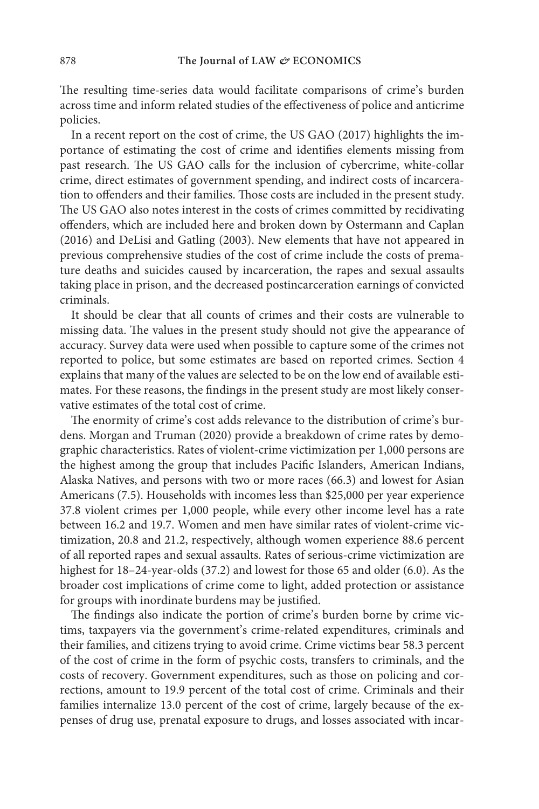The resulting time-series data would facilitate comparisons of crime's burden across time and inform related studies of the effectiveness of police and anticrime policies.

In a recent report on the cost of crime, the US GAO (2017) highlights the importance of estimating the cost of crime and identifies elements missing from past research. The US GAO calls for the inclusion of cybercrime, white-collar crime, direct estimates of government spending, and indirect costs of incarceration to offenders and their families. Those costs are included in the present study. The US GAO also notes interest in the costs of crimes committed by recidivating offenders, which are included here and broken down by Ostermann and Caplan (2016) and DeLisi and Gatling (2003). New elements that have not appeared in previous comprehensive studies of the cost of crime include the costs of premature deaths and suicides caused by incarceration, the rapes and sexual assaults taking place in prison, and the decreased postincarceration earnings of convicted criminals.

It should be clear that all counts of crimes and their costs are vulnerable to missing data. The values in the present study should not give the appearance of accuracy. Survey data were used when possible to capture some of the crimes not reported to police, but some estimates are based on reported crimes. Section 4 explains that many of the values are selected to be on the low end of available estimates. For these reasons, the findings in the present study are most likely conservative estimates of the total cost of crime.

The enormity of crime's cost adds relevance to the distribution of crime's burdens. Morgan and Truman (2020) provide a breakdown of crime rates by demographic characteristics. Rates of violent-crime victimization per 1,000 persons are the highest among the group that includes Pacific Islanders, American Indians, Alaska Natives, and persons with two or more races (66.3) and lowest for Asian Americans (7.5). Households with incomes less than \$25,000 per year experience 37.8 violent crimes per 1,000 people, while every other income level has a rate between 16.2 and 19.7. Women and men have similar rates of violent-crime victimization, 20.8 and 21.2, respectively, although women experience 88.6 percent of all reported rapes and sexual assaults. Rates of serious-crime victimization are highest for 18–24-year-olds (37.2) and lowest for those 65 and older (6.0). As the broader cost implications of crime come to light, added protection or assistance for groups with inordinate burdens may be justified.

The findings also indicate the portion of crime's burden borne by crime victims, taxpayers via the government's crime-related expenditures, criminals and their families, and citizens trying to avoid crime. Crime victims bear 58.3 percent of the cost of crime in the form of psychic costs, transfers to criminals, and the costs of recovery. Government expenditures, such as those on policing and corrections, amount to 19.9 percent of the total cost of crime. Criminals and their families internalize 13.0 percent of the cost of crime, largely because of the expenses of drug use, prenatal exposure to drugs, and losses associated with incar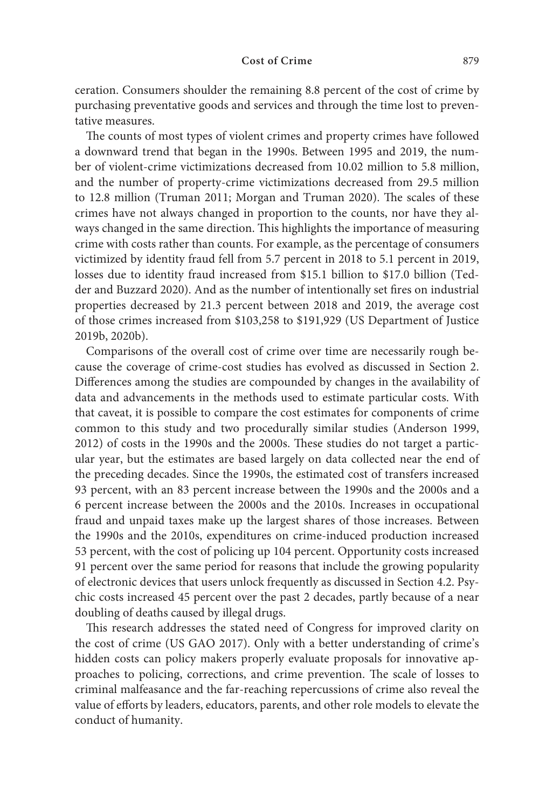ceration. Consumers shoulder the remaining 8.8 percent of the cost of crime by purchasing preventative goods and services and through the time lost to preventative measures.

The counts of most types of violent crimes and property crimes have followed a downward trend that began in the 1990s. Between 1995 and 2019, the number of violent-crime victimizations decreased from 10.02 million to 5.8 million, and the number of property-crime victimizations decreased from 29.5 million to 12.8 million (Truman 2011; Morgan and Truman 2020). The scales of these crimes have not always changed in proportion to the counts, nor have they always changed in the same direction. This highlights the importance of measuring crime with costs rather than counts. For example, as the percentage of consumers victimized by identity fraud fell from 5.7 percent in 2018 to 5.1 percent in 2019, losses due to identity fraud increased from \$15.1 billion to \$17.0 billion (Tedder and Buzzard 2020). And as the number of intentionally set fires on industrial properties decreased by 21.3 percent between 2018 and 2019, the average cost of those crimes increased from \$103,258 to \$191,929 (US Department of Justice 2019b, 2020b).

Comparisons of the overall cost of crime over time are necessarily rough because the coverage of crime-cost studies has evolved as discussed in Section 2. Differences among the studies are compounded by changes in the availability of data and advancements in the methods used to estimate particular costs. With that caveat, it is possible to compare the cost estimates for components of crime common to this study and two procedurally similar studies (Anderson 1999, 2012) of costs in the 1990s and the 2000s. These studies do not target a particular year, but the estimates are based largely on data collected near the end of the preceding decades. Since the 1990s, the estimated cost of transfers increased 93 percent, with an 83 percent increase between the 1990s and the 2000s and a 6 percent increase between the 2000s and the 2010s. Increases in occupational fraud and unpaid taxes make up the largest shares of those increases. Between the 1990s and the 2010s, expenditures on crime-induced production increased 53 percent, with the cost of policing up 104 percent. Opportunity costs increased 91 percent over the same period for reasons that include the growing popularity of electronic devices that users unlock frequently as discussed in Section 4.2. Psychic costs increased 45 percent over the past 2 decades, partly because of a near doubling of deaths caused by illegal drugs.

This research addresses the stated need of Congress for improved clarity on the cost of crime (US GAO 2017). Only with a better understanding of crime's hidden costs can policy makers properly evaluate proposals for innovative approaches to policing, corrections, and crime prevention. The scale of losses to criminal malfeasance and the far-reaching repercussions of crime also reveal the value of efforts by leaders, educators, parents, and other role models to elevate the conduct of humanity.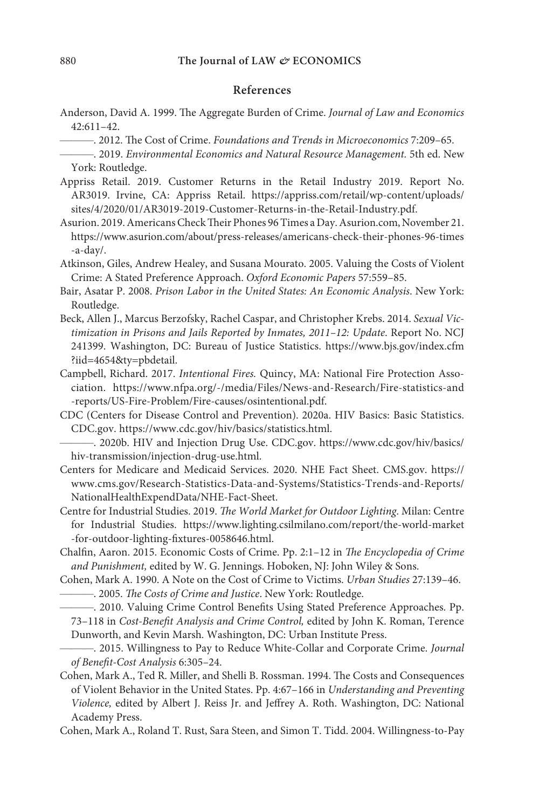# **References**

- Anderson, David A. 1999. The Aggregate Burden of Crime. Journal of Law and Economics 42:611–42.
	- ———. 2012. The Cost of Crime. Foundations and Trends in Microeconomics 7:209–65.

- Appriss Retail. 2019. Customer Returns in the Retail Industry 2019. Report No. AR3019. Irvine, CA: Appriss Retail. https://appriss.com/retail/wp-content/uploads/ sites/4/2020/01/AR3019-2019-Customer-Returns-in-the-Retail-Industry.pdf.
- Asurion. 2019. Americans Check Their Phones 96 Times a Day. Asurion.com, November 21. https://www.asurion.com/about/press-releases/americans-check-their-phones-96-times -a-day/.
- Atkinson, Giles, Andrew Healey, and Susana Mourato. 2005. Valuing the Costs of Violent Crime: A Stated Preference Approach. Oxford Economic Papers 57:559–85.
- Bair, Asatar P. 2008. Prison Labor in the United States: An Economic Analysis. New York: Routledge.
- Beck, Allen J., Marcus Berzofsky, Rachel Caspar, and Christopher Krebs. 2014. Sexual Victimization in Prisons and Jails Reported by Inmates, 2011–12: Update. Report No. NCJ 241399. Washington, DC: Bureau of Justice Statistics. https://www.bjs.gov/index.cfm ?iid=4654&ty=pbdetail.
- Campbell, Richard. 2017. Intentional Fires. Quincy, MA: National Fire Protection Association. https://www.nfpa.org/-/media/Files/News-and-Research/Fire-statistics-and -reports/US-Fire-Problem/Fire-causes/osintentional.pdf.
- CDC (Centers for Disease Control and Prevention). 2020a. HIV Basics: Basic Statistics. CDC.gov. https://www.cdc.gov/hiv/basics/statistics.html.

- Centers for Medicare and Medicaid Services. 2020. NHE Fact Sheet. CMS.gov. https:// www.cms.gov/Research-Statistics-Data-and-Systems/Statistics-Trends-and-Reports/ NationalHealthExpendData/NHE-Fact-Sheet.
- Centre for Industrial Studies. 2019. The World Market for Outdoor Lighting. Milan: Centre for Industrial Studies. https://www.lighting.csilmilano.com/report/the-world-market -for-outdoor-lighting-fixtures-0058646.html.
- Chalfin, Aaron. 2015. Economic Costs of Crime. Pp. 2:1–12 in The Encyclopedia of Crime and Punishment, edited by W. G. Jennings. Hoboken, NJ: John Wiley & Sons.
- Cohen, Mark A. 1990. A Note on the Cost of Crime to Victims. Urban Studies 27:139–46. - 2005. The Costs of Crime and Justice. New York: Routledge.
	- ———. 2010. Valuing Crime Control Benefits Using Stated Preference Approaches. Pp. 73–118 in Cost-Benefit Analysis and Crime Control, edited by John K. Roman, Terence Dunworth, and Kevin Marsh. Washington, DC: Urban Institute Press.
- 2015. Willingness to Pay to Reduce White-Collar and Corporate Crime. Journal of Benefit-Cost Analysis 6:305–24.
- Cohen, Mark A., Ted R. Miller, and Shelli B. Rossman. 1994. The Costs and Consequences of Violent Behavior in the United States. Pp. 4:67–166 in Understanding and Preventing Violence, edited by Albert J. Reiss Jr. and Jeffrey A. Roth. Washington, DC: National Academy Press.
- Cohen, Mark A., Roland T. Rust, Sara Steen, and Simon T. Tidd. 2004. Willingness-to-Pay

<sup>- 2019.</sup> Environmental Economics and Natural Resource Management. 5th ed. New York: Routledge.

<sup>———</sup>. 2020b. HIV and Injection Drug Use. CDC.gov. https://www.cdc.gov/hiv/basics/ hiv-transmission/injection-drug-use.html.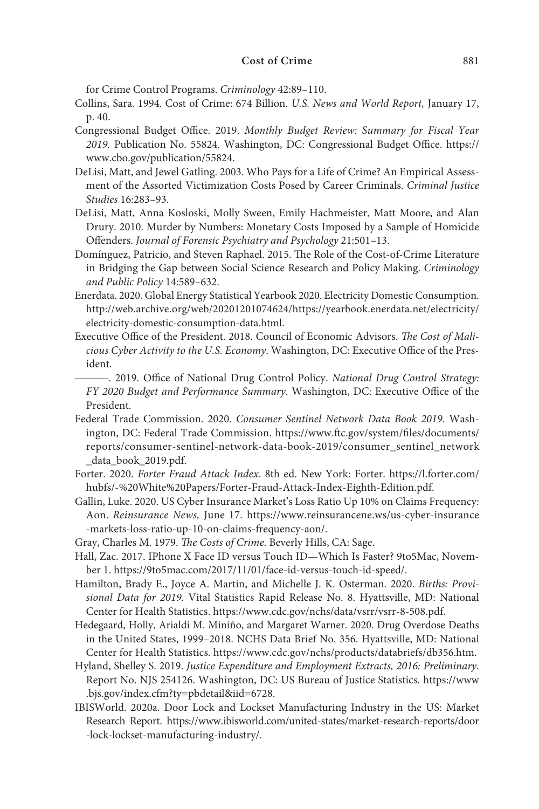for Crime Control Programs. Criminology 42:89–110.

- Collins, Sara. 1994. Cost of Crime: 674 Billion. U.S. News and World Report, January 17, p. 40.
- Congressional Budget Office. 2019. Monthly Budget Review: Summary for Fiscal Year 2019. Publication No. 55824. Washington, DC: Congressional Budget Office. https:// www.cbo.gov/publication/55824.
- DeLisi, Matt, and Jewel Gatling. 2003. Who Pays for a Life of Crime? An Empirical Assessment of the Assorted Victimization Costs Posed by Career Criminals. Criminal Justice Studies 16:283–93.
- DeLisi, Matt, Anna Kosloski, Molly Sween, Emily Hachmeister, Matt Moore, and Alan Drury. 2010. Murder by Numbers: Monetary Costs Imposed by a Sample of Homicide Offenders. Journal of Forensic Psychiatry and Psychology 21:501–13.
- Domínguez, Patricio, and Steven Raphael. 2015. The Role of the Cost-of-Crime Literature in Bridging the Gap between Social Science Research and Policy Making. Criminology and Public Policy 14:589–632.
- Enerdata. 2020. Global Energy Statistical Yearbook 2020. Electricity Domestic Consumption. http://web.archive.org/web/20201201074624/https://yearbook.enerdata.net/electricity/ electricity-domestic-consumption-data.html.
- Executive Office of the President. 2018. Council of Economic Advisors. The Cost of Malicious Cyber Activity to the U.S. Economy. Washington, DC: Executive Office of the President.
- ———. 2019. Office of National Drug Control Policy. National Drug Control Strategy: FY 2020 Budget and Performance Summary. Washington, DC: Executive Office of the President.
- Federal Trade Commission. 2020. Consumer Sentinel Network Data Book 2019. Washington, DC: Federal Trade Commission. https://www.ftc.gov/system/files/documents/ reports/consumer-sentinel-network-data-book-2019/consumer\_sentinel\_network data\_book\_2019.pdf.
- Forter. 2020. Forter Fraud Attack Index. 8th ed. New York: Forter. https://l.forter.com/ hubfs/-%20White%20Papers/Forter-Fraud-Attack-Index-Eighth-Edition.pdf.
- Gallin, Luke. 2020. US Cyber Insurance Market's Loss Ratio Up 10% on Claims Frequency: Aon. Reinsurance News, June 17. https://www.reinsurancene.ws/us-cyber-insurance -markets-loss-ratio-up-10-on-claims-frequency-aon/.
- Gray, Charles M. 1979. The Costs of Crime. Beverly Hills, CA: Sage.
- Hall, Zac. 2017. IPhone X Face ID versus Touch ID—Which Is Faster? 9to5Mac, November 1. https://9to5mac.com/2017/11/01/face-id-versus-touch-id-speed/.
- Hamilton, Brady E., Joyce A. Martin, and Michelle J. K. Osterman. 2020. Births: Provisional Data for 2019. Vital Statistics Rapid Release No. 8. Hyattsville, MD: National Center for Health Statistics. https://www.cdc.gov/nchs/data/vsrr/vsrr-8-508.pdf.
- Hedegaard, Holly, Arialdi M. Miniño, and Margaret Warner. 2020. Drug Overdose Deaths in the United States, 1999–2018. NCHS Data Brief No. 356. Hyattsville, MD: National Center for Health Statistics. https://www.cdc.gov/nchs/products/databriefs/db356.htm.
- Hyland, Shelley S. 2019. Justice Expenditure and Employment Extracts, 2016: Preliminary. Report No. NJS 254126. Washington, DC: US Bureau of Justice Statistics. https://www .bjs.gov/index.cfm?ty=pbdetail&iid=6728.
- IBISWorld. 2020a. Door Lock and Lockset Manufacturing Industry in the US: Market Research Report. https://www.ibisworld.com/united-states/market-research-reports/door -lock-lockset-manufacturing-industry/.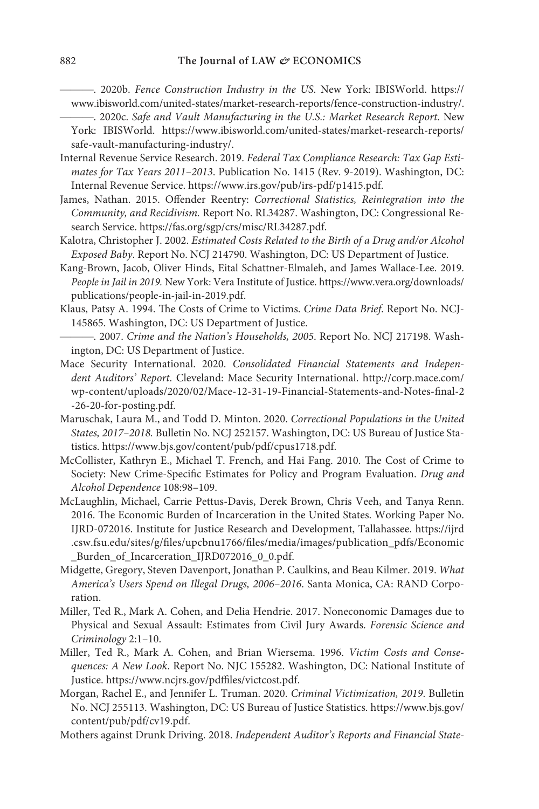———. 2020b. Fence Construction Industry in the US. New York: IBISWorld. https:// www.ibisworld.com/united-states/market-research-reports/fence-construction-industry/.

———. 2020c. Safe and Vault Manufacturing in the U.S.: Market Research Report. New York: IBISWorld. https://www.ibisworld.com/united-states/market-research-reports/ safe-vault-manufacturing-industry/.

- Internal Revenue Service Research. 2019. Federal Tax Compliance Research: Tax Gap Estimates for Tax Years 2011–2013. Publication No. 1415 (Rev. 9-2019). Washington, DC: Internal Revenue Service. https://www.irs.gov/pub/irs-pdf/p1415.pdf.
- James, Nathan. 2015. Offender Reentry: Correctional Statistics, Reintegration into the Community, and Recidivism. Report No. RL34287. Washington, DC: Congressional Research Service. https://fas.org/sgp/crs/misc/RL34287.pdf.
- Kalotra, Christopher J. 2002. Estimated Costs Related to the Birth of a Drug and/or Alcohol Exposed Baby. Report No. NCJ 214790. Washington, DC: US Department of Justice.
- Kang-Brown, Jacob, Oliver Hinds, Eital Schattner-Elmaleh, and James Wallace-Lee. 2019. People in Jail in 2019. New York: Vera Institute of Justice. https://www.vera.org/downloads/ publications/people-in-jail-in-2019.pdf.
- Klaus, Patsy A. 1994. The Costs of Crime to Victims. Crime Data Brief. Report No. NCJ-145865. Washington, DC: US Department of Justice.
- ———. 2007. Crime and the Nation's Households, 2005. Report No. NCJ 217198. Washington, DC: US Department of Justice.
- Mace Security International. 2020. Consolidated Financial Statements and Independent Auditors' Report. Cleveland: Mace Security International. http://corp.mace.com/ wp-content/uploads/2020/02/Mace-12-31-19-Financial-Statements-and-Notes-final-2 -26-20-for-posting.pdf.
- Maruschak, Laura M., and Todd D. Minton. 2020. Correctional Populations in the United States, 2017–2018. Bulletin No. NCJ 252157. Washington, DC: US Bureau of Justice Statistics. https://www.bjs.gov/content/pub/pdf/cpus1718.pdf.
- McCollister, Kathryn E., Michael T. French, and Hai Fang. 2010. The Cost of Crime to Society: New Crime-Specific Estimates for Policy and Program Evaluation. Drug and Alcohol Dependence 108:98–109.
- McLaughlin, Michael, Carrie Pettus-Davis, Derek Brown, Chris Veeh, and Tanya Renn. 2016. The Economic Burden of Incarceration in the United States. Working Paper No. IJRD-072016. Institute for Justice Research and Development, Tallahassee. https://ijrd .csw.fsu.edu/sites/g/files/upcbnu1766/files/media/images/publication\_pdfs/Economic Burden\_of\_Incarceration\_IJRD072016\_0\_0.pdf.
- Midgette, Gregory, Steven Davenport, Jonathan P. Caulkins, and Beau Kilmer. 2019. What America's Users Spend on Illegal Drugs, 2006–2016. Santa Monica, CA: RAND Corporation.
- Miller, Ted R., Mark A. Cohen, and Delia Hendrie. 2017. Noneconomic Damages due to Physical and Sexual Assault: Estimates from Civil Jury Awards. Forensic Science and Criminology 2:1–10.
- Miller, Ted R., Mark A. Cohen, and Brian Wiersema. 1996. Victim Costs and Consequences: A New Look. Report No. NJC 155282. Washington, DC: National Institute of Justice. https://www.ncjrs.gov/pdffiles/victcost.pdf.
- Morgan, Rachel E., and Jennifer L. Truman. 2020. Criminal Victimization, 2019. Bulletin No. NCJ 255113. Washington, DC: US Bureau of Justice Statistics. https://www.bjs.gov/ content/pub/pdf/cv19.pdf.
- Mothers against Drunk Driving. 2018. Independent Auditor's Reports and Financial State-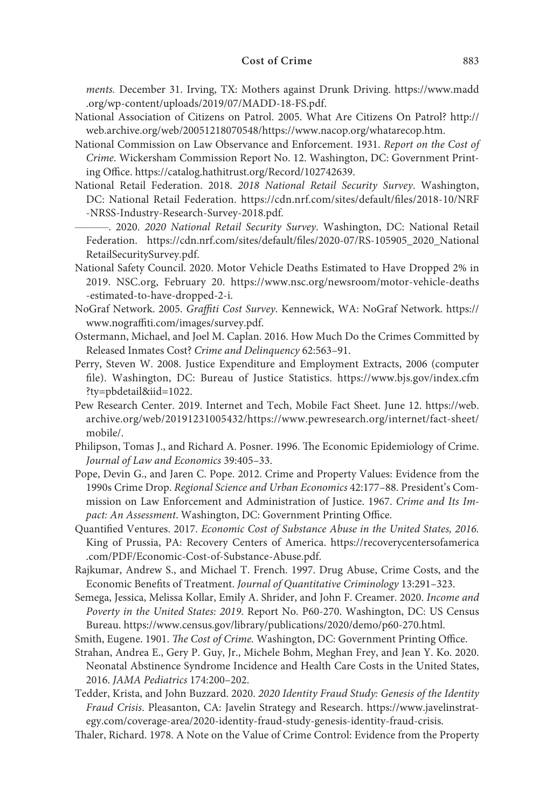ments. December 31. Irving, TX: Mothers against Drunk Driving. https://www.madd .org/wp-content/uploads/2019/07/MADD-18-FS.pdf.

- National Association of Citizens on Patrol. 2005. What Are Citizens On Patrol? http:// web.archive.org/web/20051218070548/https://www.nacop.org/whatarecop.htm.
- National Commission on Law Observance and Enforcement. 1931. Report on the Cost of Crime. Wickersham Commission Report No. 12. Washington, DC: Government Printing Office. https://catalog.hathitrust.org/Record/102742639.
- National Retail Federation. 2018. 2018 National Retail Security Survey. Washington, DC: National Retail Federation. https://cdn.nrf.com/sites/default/files/2018-10/NRF -NRSS-Industry-Research-Survey-2018.pdf.

———. 2020. 2020 National Retail Security Survey. Washington, DC: National Retail Federation. https://cdn.nrf.com/sites/default/files/2020-07/RS-105905\_2020\_National RetailSecuritySurvey.pdf.

- National Safety Council. 2020. Motor Vehicle Deaths Estimated to Have Dropped 2% in 2019. NSC.org, February 20. https://www.nsc.org/newsroom/motor-vehicle-deaths -estimated-to-have-dropped-2-i.
- NoGraf Network. 2005. Graffiti Cost Survey. Kennewick, WA: NoGraf Network. https:// www.nograffiti.com/images/survey.pdf.
- Ostermann, Michael, and Joel M. Caplan. 2016. How Much Do the Crimes Committed by Released Inmates Cost? Crime and Delinquency 62:563–91.
- Perry, Steven W. 2008. Justice Expenditure and Employment Extracts, 2006 (computer file). Washington, DC: Bureau of Justice Statistics. https://www.bjs.gov/index.cfm ?ty=pbdetail&iid=1022.
- Pew Research Center. 2019. Internet and Tech, Mobile Fact Sheet. June 12. https://web. archive.org/web/20191231005432/https://www.pewresearch.org/internet/fact-sheet/ mobile/.
- Philipson, Tomas J., and Richard A. Posner. 1996. The Economic Epidemiology of Crime. Journal of Law and Economics 39:405–33.
- Pope, Devin G., and Jaren C. Pope. 2012. Crime and Property Values: Evidence from the 1990s Crime Drop. Regional Science and Urban Economics 42:177–88. President's Commission on Law Enforcement and Administration of Justice. 1967. Crime and Its Impact: An Assessment. Washington, DC: Government Printing Office.
- Quantified Ventures. 2017. Economic Cost of Substance Abuse in the United States, 2016. King of Prussia, PA: Recovery Centers of America. https://recoverycentersofamerica .com/PDF/Economic-Cost-of-Substance-Abuse.pdf.
- Rajkumar, Andrew S., and Michael T. French. 1997. Drug Abuse, Crime Costs, and the Economic Benefits of Treatment. Journal of Quantitative Criminology 13:291–323.
- Semega, Jessica, Melissa Kollar, Emily A. Shrider, and John F. Creamer. 2020. Income and Poverty in the United States: 2019. Report No. P60-270. Washington, DC: US Census Bureau. https://www.census.gov/library/publications/2020/demo/p60-270.html.
- Smith, Eugene. 1901. The Cost of Crime. Washington, DC: Government Printing Office.
- Strahan, Andrea E., Gery P. Guy, Jr., Michele Bohm, Meghan Frey, and Jean Y. Ko. 2020. Neonatal Abstinence Syndrome Incidence and Health Care Costs in the United States, 2016. JAMA Pediatrics 174:200–202.
- Tedder, Krista, and John Buzzard. 2020. 2020 Identity Fraud Study: Genesis of the Identity Fraud Crisis. Pleasanton, CA: Javelin Strategy and Research. https://www.javelinstrategy.com/coverage-area/2020-identity-fraud-study-genesis-identity-fraud-crisis.
- Thaler, Richard. 1978. A Note on the Value of Crime Control: Evidence from the Property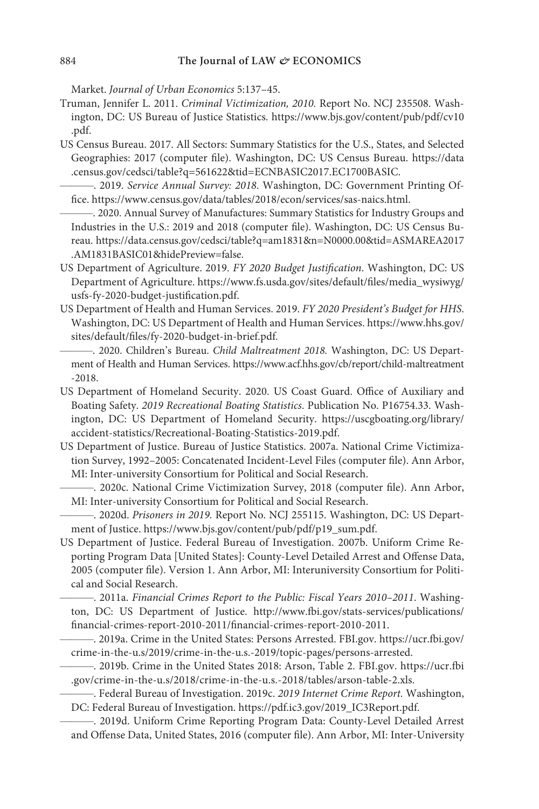Market. Journal of Urban Economics 5:137–45.

- Truman, Jennifer L. 2011. Criminal Victimization, 2010. Report No. NCJ 235508. Washington, DC: US Bureau of Justice Statistics. https://www.bjs.gov/content/pub/pdf/cv10 .pdf.
- US Census Bureau. 2017. All Sectors: Summary Statistics for the U.S., States, and Selected Geographies: 2017 (computer file). Washington, DC: US Census Bureau. https://data .census.gov/cedsci/table?q=561622&tid=ECNBASIC2017.EC1700BASIC.
- ———. 2019. Service Annual Survey: 2018. Washington, DC: Government Printing Office. https://www.census.gov/data/tables/2018/econ/services/sas-naics.html.

———. 2020. Annual Survey of Manufactures: Summary Statistics for Industry Groups and Industries in the U.S.: 2019 and 2018 (computer file). Washington, DC: US Census Bureau. https://data.census.gov/cedsci/table?q=am1831&n=N0000.00&tid=ASMAREA2017 .AM1831BASIC01&hidePreview=false.

- US Department of Agriculture. 2019. FY 2020 Budget Justification. Washington, DC: US Department of Agriculture. https://www.fs.usda.gov/sites/default/files/media\_wysiwyg/ usfs-fy-2020-budget-justification.pdf.
- US Department of Health and Human Services. 2019. FY 2020 President's Budget for HHS. Washington, DC: US Department of Health and Human Services. https://www.hhs.gov/ sites/default/files/fy-2020-budget-in-brief.pdf.

-. 2020. Children's Bureau. Child Maltreatment 2018. Washington, DC: US Department of Health and Human Services. https://www.acf.hhs.gov/cb/report/child-maltreatment -2018.

- US Department of Homeland Security. 2020. US Coast Guard. Office of Auxiliary and Boating Safety. 2019 Recreational Boating Statistics. Publication No. P16754.33. Washington, DC: US Department of Homeland Security. https://uscgboating.org/library/ accident-statistics/Recreational-Boating-Statistics-2019.pdf.
- US Department of Justice. Bureau of Justice Statistics. 2007a. National Crime Victimization Survey, 1992–2005: Concatenated Incident-Level Files (computer file). Ann Arbor, MI: Inter-university Consortium for Political and Social Research.
	- ———. 2020c. National Crime Victimization Survey, 2018 (computer file). Ann Arbor, MI: Inter-university Consortium for Political and Social Research.

-. 2020d. Prisoners in 2019. Report No. NCJ 255115. Washington, DC: US Department of Justice. https://www.bjs.gov/content/pub/pdf/p19\_sum.pdf.

- US Department of Justice. Federal Bureau of Investigation. 2007b. Uniform Crime Reporting Program Data [United States]: County-Level Detailed Arrest and Offense Data, 2005 (computer file). Version 1. Ann Arbor, MI: Interuniversity Consortium for Political and Social Research.
	- ———. 2011a. Financial Crimes Report to the Public: Fiscal Years 2010–2011. Washington, DC: US Department of Justice. http://www.fbi.gov/stats-services/publications/ financial-crimes-report-2010-2011/financial-crimes-report-2010-2011.
	- ———. 2019a. Crime in the United States: Persons Arrested. FBI.gov. https://ucr.fbi.gov/ crime-in-the-u.s/2019/crime-in-the-u.s.-2019/topic-pages/persons-arrested.
	- ———. 2019b. Crime in the United States 2018: Arson, Table 2. FBI.gov. https://ucr.fbi .gov/crime-in-the-u.s/2018/crime-in-the-u.s.-2018/tables/arson-table-2.xls.
	- -. Federal Bureau of Investigation. 2019c. 2019 Internet Crime Report. Washington, DC: Federal Bureau of Investigation. https://pdf.ic3.gov/2019\_IC3Report.pdf.

———. 2019d. Uniform Crime Reporting Program Data: County-Level Detailed Arrest and Offense Data, United States, 2016 (computer file). Ann Arbor, MI: Inter-University